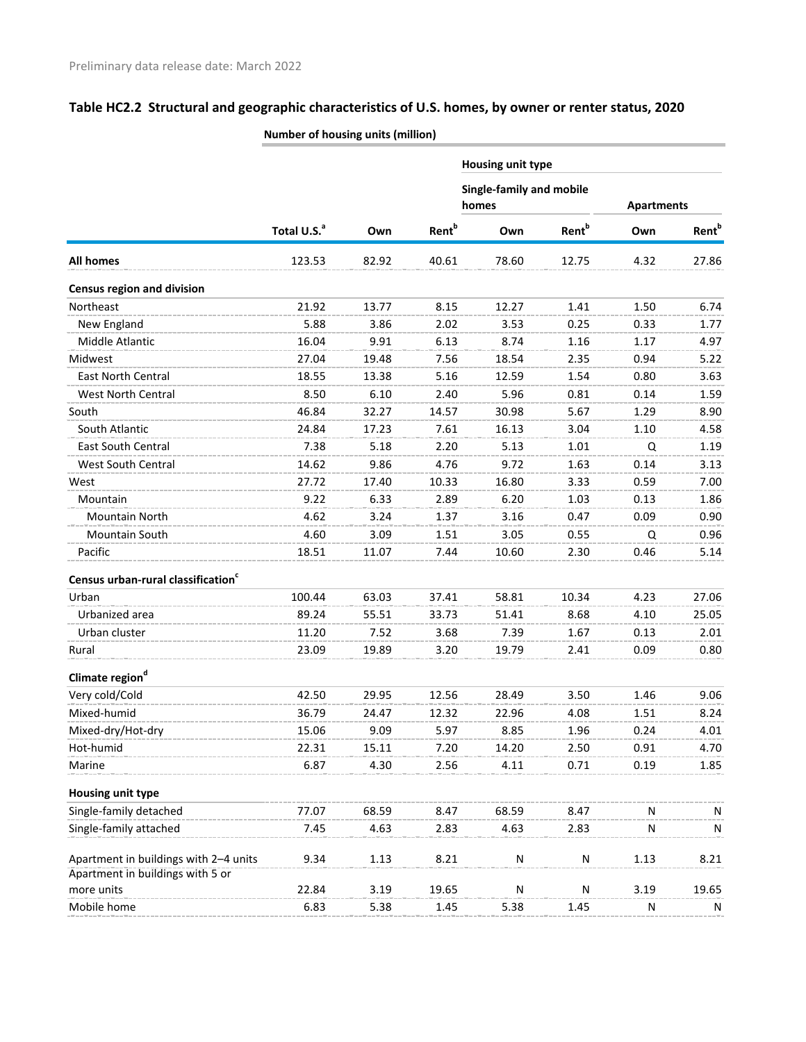|                                                |                         |       |                          | <b>Housing unit type</b>                 |                          |                   |                          |
|------------------------------------------------|-------------------------|-------|--------------------------|------------------------------------------|--------------------------|-------------------|--------------------------|
|                                                |                         |       |                          | <b>Single-family and mobile</b><br>homes |                          | <b>Apartments</b> |                          |
|                                                | Total U.S. <sup>a</sup> | Own   | <b>Rent</b> <sup>b</sup> | Own                                      | <b>Rent</b> <sup>b</sup> | Own               | <b>Rent</b> <sup>b</sup> |
| All homes                                      | 123.53                  | 82.92 | 40.61                    | 78.60                                    | 12.75                    | 4.32              | 27.86                    |
| <b>Census region and division</b>              |                         |       |                          |                                          |                          |                   |                          |
| Northeast                                      | 21.92                   | 13.77 | 8.15                     | 12.27                                    | 1.41                     | 1.50              | 6.74                     |
| New England                                    | 5.88                    | 3.86  | 2.02                     | 3.53                                     | 0.25                     | 0.33              | 1.77                     |
| Middle Atlantic                                | 16.04                   | 9.91  | 6.13                     | 8.74                                     | 1.16                     | 1.17              | 4.97                     |
| Midwest                                        | 27.04                   | 19.48 | 7.56                     | 18.54                                    | 2.35                     | 0.94              | 5.22                     |
| East North Central                             | 18.55                   | 13.38 | 5.16                     | 12.59                                    | 1.54                     | 0.80              | 3.63                     |
| West North Central                             | 8.50                    | 6.10  | 2.40                     | 5.96                                     | 0.81                     | 0.14              | 1.59                     |
| South                                          | 46.84                   | 32.27 | 14.57                    | 30.98                                    | 5.67                     | 1.29              | 8.90                     |
| South Atlantic                                 | 24.84                   | 17.23 | 7.61                     | 16.13                                    | 3.04                     | 1.10              | 4.58                     |
| East South Central                             | 7.38                    | 5.18  | 2.20                     | 5.13                                     | 1.01                     | Q                 | 1.19                     |
| West South Central                             | 14.62                   | 9.86  | 4.76                     | 9.72                                     | 1.63                     | 0.14              | 3.13                     |
| West                                           | 27.72                   | 17.40 | 10.33                    | 16.80                                    | 3.33                     | 0.59              | 7.00                     |
| Mountain                                       | 9.22                    | 6.33  | 2.89                     | 6.20                                     | 1.03                     | 0.13              | 1.86                     |
| Mountain North                                 | 4.62                    | 3.24  | 1.37                     | 3.16                                     | 0.47                     | 0.09              | 0.90                     |
| Mountain South                                 | 4.60                    | 3.09  | 1.51                     | 3.05                                     | 0.55                     | Q                 | 0.96                     |
| Pacific                                        | 18.51                   | 11.07 | 7.44                     | 10.60                                    | 2.30                     | 0.46              | 5.14                     |
| Census urban-rural classification <sup>c</sup> |                         |       |                          |                                          |                          |                   |                          |
| Urban                                          | 100.44                  | 63.03 | 37.41                    | 58.81                                    | 10.34                    | 4.23              | 27.06                    |
| Urbanized area                                 | 89.24                   | 55.51 | 33.73                    | 51.41                                    | 8.68                     | 4.10              | 25.05                    |
| Urban cluster                                  | 11.20                   | 7.52  | 3.68                     | 7.39                                     | 1.67                     | 0.13              | 2.01                     |
| Rural                                          | 23.09                   | 19.89 | 3.20                     | 19.79                                    | 2.41                     | 0.09              | 0.80                     |
| Climate region <sup>d</sup>                    |                         |       |                          |                                          |                          |                   |                          |
| Very cold/Cold                                 | 42.50                   | 29.95 | 12.56                    | 28.49                                    | 3.50                     | 1.46              | 9.06                     |
| Mixed-humid                                    | 36.79                   | 24.47 | 12.32                    | 22.96                                    | 4.08                     | 1.51              | 8.24                     |
| Mixed-dry/Hot-dry                              | 15.06                   | 9.09  | 5.97                     | 8.85                                     | 1.96                     | 0.24              | 4.01                     |
| Hot-humid                                      | 22.31                   | 15.11 | 7.20                     | 14.20                                    | 2.50                     | 0.91              | 4.70                     |
| Marine                                         | 6.87                    | 4.30  | 2.56                     | 4.11                                     | 0.71                     | 0.19              | 1.85                     |
| Housing unit type                              |                         |       |                          |                                          |                          |                   |                          |
| Single-family detached                         | 77.07                   | 68.59 | 8.47                     | 68.59                                    | 8.47                     | N                 | N                        |
| Single-family attached                         | 7.45                    | 4.63  | 2.83                     | 4.63                                     | 2.83                     | N                 | N                        |
|                                                |                         |       |                          |                                          |                          |                   |                          |
| Apartment in buildings with 2-4 units          | 9.34                    | 1.13  | 8.21                     | N                                        | N                        | 1.13              | 8.21                     |
| Apartment in buildings with 5 or               |                         |       |                          |                                          |                          |                   |                          |
| more units                                     | 22.84                   | 3.19  | 19.65                    | N                                        | N                        | 3.19              | 19.65                    |
| Mobile home                                    | 6.83                    | 5.38  | 1.45                     | 5.38                                     | 1.45                     | N                 | N                        |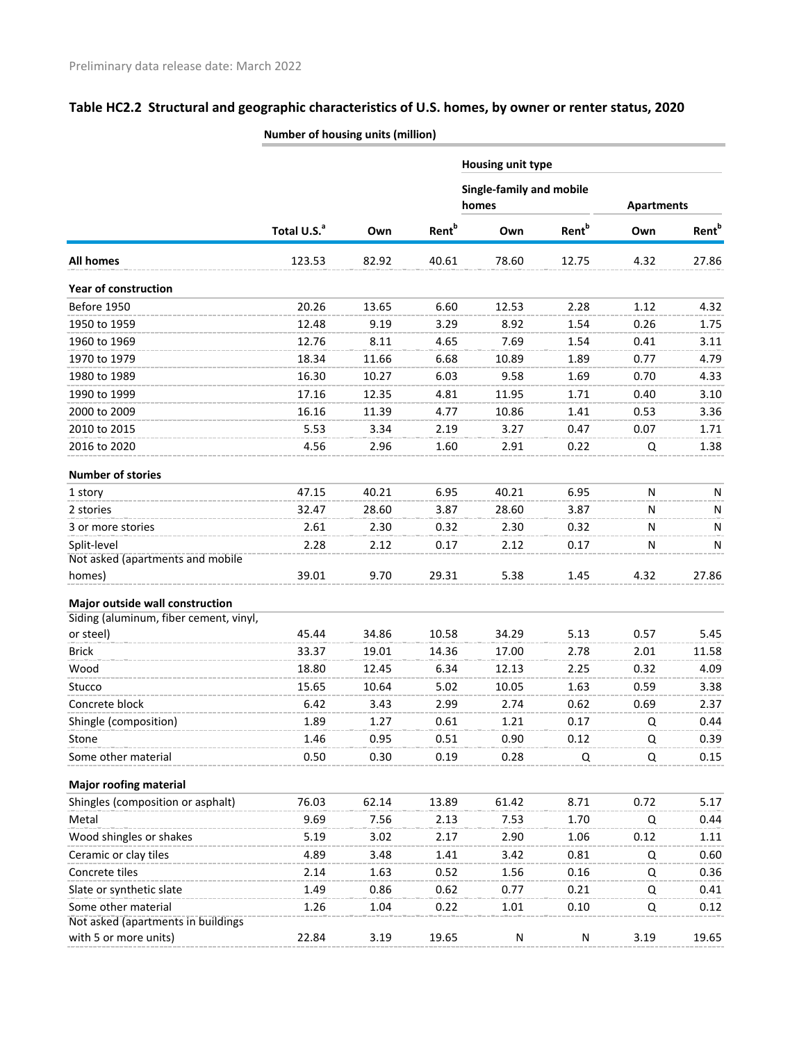|                                                           | $\frac{1}{2}$           |       |                          |                                          |                          |                   |                   |
|-----------------------------------------------------------|-------------------------|-------|--------------------------|------------------------------------------|--------------------------|-------------------|-------------------|
|                                                           |                         |       |                          | Housing unit type                        |                          |                   |                   |
|                                                           |                         |       |                          | <b>Single-family and mobile</b><br>homes |                          | <b>Apartments</b> |                   |
|                                                           | Total U.S. <sup>a</sup> | Own   | <b>Rent</b> <sup>b</sup> | Own                                      | <b>Rent</b> <sup>b</sup> | Own               | Rent <sup>b</sup> |
| All homes                                                 | 123.53                  | 82.92 | 40.61                    | 78.60                                    | 12.75                    | 4.32              | 27.86             |
| <b>Year of construction</b>                               |                         |       |                          |                                          |                          |                   |                   |
| Before 1950                                               | 20.26                   | 13.65 | 6.60                     | 12.53                                    | 2.28                     | 1.12              | 4.32              |
| 1950 to 1959                                              | 12.48                   | 9.19  | 3.29                     | 8.92                                     | 1.54                     | 0.26              | 1.75              |
| 1960 to 1969                                              | 12.76                   | 8.11  | 4.65                     | 7.69                                     | 1.54                     | 0.41              | 3.11              |
| 1970 to 1979                                              | 18.34                   | 11.66 | 6.68                     | 10.89                                    | 1.89                     | 0.77              | 4.79              |
| 1980 to 1989                                              | 16.30                   | 10.27 | 6.03                     | 9.58                                     | 1.69                     | 0.70              | 4.33              |
| 1990 to 1999                                              | 17.16                   | 12.35 | 4.81                     | 11.95                                    | 1.71                     | 0.40              | 3.10              |
| 2000 to 2009                                              | 16.16                   | 11.39 | 4.77                     | 10.86                                    | 1.41                     | 0.53              | 3.36              |
| 2010 to 2015                                              | 5.53                    | 3.34  | 2.19                     | 3.27                                     | 0.47                     | 0.07              | 1.71              |
| 2016 to 2020                                              | 4.56                    | 2.96  | 1.60                     | 2.91                                     | 0.22                     | Q                 | 1.38              |
| <b>Number of stories</b>                                  |                         |       |                          |                                          |                          |                   |                   |
| 1 story                                                   | 47.15                   | 40.21 | 6.95                     | 40.21                                    | 6.95                     | N                 | N                 |
| 2 stories                                                 | 32.47                   | 28.60 | 3.87                     | 28.60                                    | 3.87                     | N                 | N                 |
| 3 or more stories                                         | 2.61                    | 2.30  | 0.32                     | 2.30                                     | 0.32                     | N                 | N                 |
| Split-level<br>Not asked (apartments and mobile           | 2.28                    | 2.12  | 0.17                     | 2.12                                     | 0.17                     | N                 | N                 |
| homes)                                                    | 39.01                   | 9.70  | 29.31                    | 5.38                                     | 1.45                     | 4.32              | 27.86             |
| Major outside wall construction                           |                         |       |                          |                                          |                          |                   |                   |
| Siding (aluminum, fiber cement, vinyl,                    |                         |       |                          |                                          |                          |                   |                   |
| or steel)                                                 | 45.44                   | 34.86 | 10.58                    | 34.29                                    | 5.13                     | 0.57              | 5.45              |
| <b>Brick</b>                                              | 33.37                   | 19.01 | 14.36                    | 17.00                                    | 2.78                     | 2.01              | 11.58             |
| Wood                                                      | 18.80                   | 12.45 | 6.34                     | 12.13                                    | 2.25                     | 0.32              | 4.09              |
| Stucco                                                    | 15.65                   | 10.64 | 5.02                     | 10.05                                    | 1.63                     | 0.59              | 3.38              |
| Concrete block                                            | 6.42                    | 3.43  | 2.99                     | 2.74                                     | 0.62                     | 0.69              | 2.37              |
| Shingle (composition)                                     | 1.89                    | 1.27  | 0.61                     | 1.21                                     | 0.17                     | Q                 | 0.44              |
| Stone                                                     | 1.46                    | 0.95  | 0.51                     | 0.90                                     | 0.12                     | Q                 | 0.39              |
| Some other material                                       | 0.50                    | 0.30  | 0.19                     | 0.28                                     | Q                        | Q                 | 0.15              |
| <b>Major roofing material</b>                             |                         |       |                          |                                          |                          |                   |                   |
| Shingles (composition or asphalt)                         | 76.03                   | 62.14 | 13.89                    | 61.42                                    | 8.71                     | 0.72              | 5.17              |
| Metal                                                     | 9.69                    | 7.56  | 2.13                     | 7.53                                     | 1.70                     | Q                 | 0.44              |
| Wood shingles or shakes                                   | 5.19                    | 3.02  | 2.17                     | 2.90                                     | 1.06                     | 0.12              | 1.11              |
| Ceramic or clay tiles                                     | 4.89                    | 3.48  | 1.41                     | 3.42                                     | 0.81                     | Q                 | 0.60              |
| Concrete tiles                                            | 2.14                    | 1.63  | 0.52                     | 1.56                                     | 0.16                     | Q                 | 0.36              |
| Slate or synthetic slate                                  | 1.49                    | 0.86  | 0.62                     | 0.77                                     | 0.21                     | Q                 | 0.41              |
| Some other material<br>Not asked (apartments in buildings | 1.26                    | 1.04  | 0.22                     | 1.01                                     | 0.10                     | Q                 | 0.12              |
| with 5 or more units)                                     | 22.84                   | 3.19  | 19.65                    | N                                        | N                        | 3.19              | 19.65             |
|                                                           |                         |       |                          |                                          |                          |                   |                   |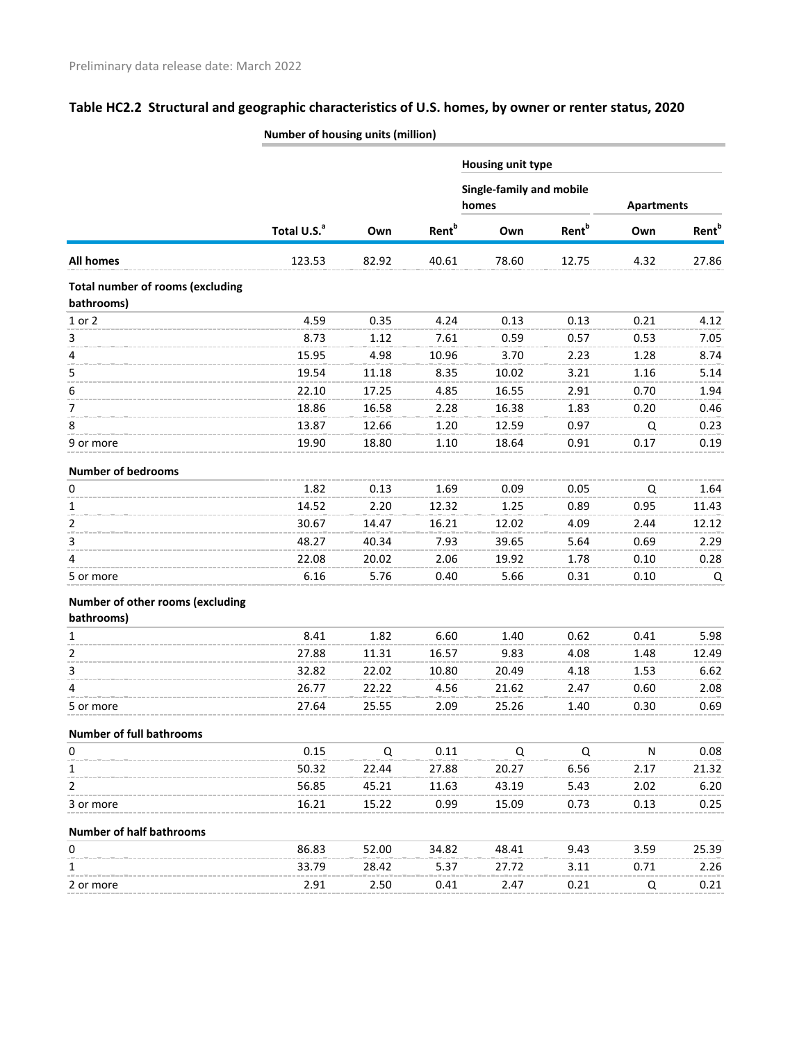|                                                       | Number of housing units (million) |       |                          |                                          |                          |                   |                          |  |  |  |  |
|-------------------------------------------------------|-----------------------------------|-------|--------------------------|------------------------------------------|--------------------------|-------------------|--------------------------|--|--|--|--|
|                                                       |                                   |       |                          | Housing unit type                        |                          |                   |                          |  |  |  |  |
|                                                       |                                   |       |                          | <b>Single-family and mobile</b><br>homes |                          | <b>Apartments</b> |                          |  |  |  |  |
|                                                       | Total U.S. <sup>a</sup>           | Own   | <b>Rent</b> <sup>b</sup> | Own                                      | <b>Rent</b> <sup>b</sup> | Own               | <b>Rent</b> <sup>b</sup> |  |  |  |  |
| All homes                                             | 123.53                            | 82.92 | 40.61                    | 78.60                                    | 12.75                    | 4.32              | 27.86                    |  |  |  |  |
| <b>Total number of rooms (excluding</b><br>bathrooms) |                                   |       |                          |                                          |                          |                   |                          |  |  |  |  |
| 1 or 2                                                | 4.59                              | 0.35  | 4.24                     | 0.13                                     | 0.13                     | 0.21              | 4.12                     |  |  |  |  |
| 3                                                     | 8.73                              | 1.12  | 7.61                     | 0.59                                     | 0.57                     | 0.53              | 7.05                     |  |  |  |  |
| 4                                                     | 15.95                             | 4.98  | 10.96                    | 3.70                                     | 2.23                     | 1.28              | 8.74                     |  |  |  |  |
| 5                                                     | 19.54                             | 11.18 | 8.35                     | 10.02                                    | 3.21                     | 1.16              | 5.14                     |  |  |  |  |
| 6                                                     | 22.10                             | 17.25 | 4.85                     | 16.55                                    | 2.91                     | 0.70              | 1.94                     |  |  |  |  |
| $\overline{7}$                                        | 18.86                             | 16.58 | 2.28                     | 16.38                                    | 1.83                     | 0.20              | 0.46                     |  |  |  |  |
| 8                                                     | 13.87                             | 12.66 | 1.20                     | 12.59                                    | 0.97                     | Q                 | 0.23                     |  |  |  |  |
| 9 or more                                             | 19.90                             | 18.80 | 1.10                     | 18.64                                    | 0.91                     | 0.17              | 0.19                     |  |  |  |  |
| <b>Number of bedrooms</b>                             |                                   |       |                          |                                          |                          |                   |                          |  |  |  |  |
| 0                                                     | 1.82                              | 0.13  | 1.69                     | 0.09                                     | 0.05                     | Q                 | 1.64                     |  |  |  |  |
| 1                                                     | 14.52                             | 2.20  | 12.32                    | 1.25                                     | 0.89                     | 0.95              | 11.43                    |  |  |  |  |
| 2                                                     | 30.67                             | 14.47 | 16.21                    | 12.02                                    | 4.09                     | 2.44              | 12.12                    |  |  |  |  |
| 3                                                     | 48.27                             | 40.34 | 7.93                     | 39.65                                    | 5.64                     | 0.69              | 2.29                     |  |  |  |  |
| 4                                                     | 22.08                             | 20.02 | 2.06                     | 19.92                                    | 1.78                     | 0.10              | 0.28                     |  |  |  |  |
| 5 or more                                             | 6.16                              | 5.76  | 0.40                     | 5.66                                     | 0.31                     | 0.10              | Q                        |  |  |  |  |
| Number of other rooms (excluding<br>bathrooms)        |                                   |       |                          |                                          |                          |                   |                          |  |  |  |  |
| 1                                                     | 8.41                              | 1.82  | 6.60                     | 1.40                                     | 0.62                     | 0.41              | 5.98                     |  |  |  |  |
| 2                                                     | 27.88                             | 11.31 | 16.57                    | 9.83                                     | 4.08                     | 1.48              | 12.49                    |  |  |  |  |
| 3                                                     | 32.82                             | 22.02 | 10.80                    | 20.49                                    | 4.18                     | 1.53              | 6.62                     |  |  |  |  |
| 4                                                     | 26.77                             | 22.22 | 4.56                     | 21.62                                    | 2.47                     | 0.60              | 2.08                     |  |  |  |  |
| 5 or more                                             | 27.64                             | 25.55 | 2.09                     | 25.26                                    | 1.40                     | 0.30              | 0.69                     |  |  |  |  |
| <b>Number of full bathrooms</b>                       |                                   |       |                          |                                          |                          |                   |                          |  |  |  |  |
| $\mathbf 0$                                           | 0.15                              | Q     | 0.11                     | Q                                        | Q                        | N                 | 0.08                     |  |  |  |  |
| 1                                                     | 50.32                             | 22.44 | 27.88                    | 20.27                                    | 6.56                     | 2.17              | 21.32                    |  |  |  |  |
| $\overline{2}$                                        | 56.85                             | 45.21 | 11.63                    | 43.19                                    | 5.43                     | 2.02              | 6.20                     |  |  |  |  |
| 3 or more                                             | 16.21                             | 15.22 | 0.99                     | 15.09                                    | 0.73                     | 0.13              | 0.25                     |  |  |  |  |
| <b>Number of half bathrooms</b>                       |                                   |       |                          |                                          |                          |                   |                          |  |  |  |  |
| 0                                                     | 86.83                             | 52.00 | 34.82                    | 48.41                                    | 9.43                     | 3.59              | 25.39                    |  |  |  |  |
| 1                                                     | 33.79                             | 28.42 | 5.37                     | 27.72                                    | 3.11                     | 0.71              | 2.26                     |  |  |  |  |
| 2 or more                                             | 2.91                              | 2.50  | 0.41                     | 2.47                                     | 0.21                     | Q                 | 0.21                     |  |  |  |  |
|                                                       |                                   |       |                          |                                          |                          |                   |                          |  |  |  |  |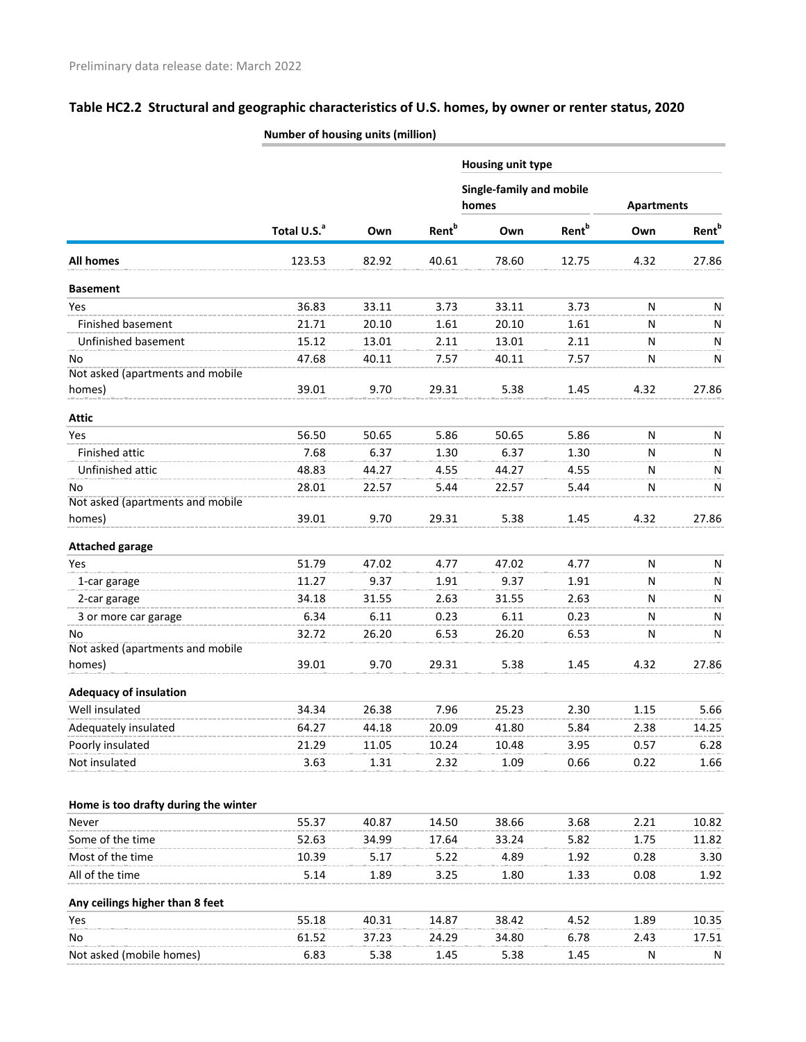|                                      |                         |       |                          | <b>Housing unit type</b>          |                          |                   |                          |  |  |
|--------------------------------------|-------------------------|-------|--------------------------|-----------------------------------|--------------------------|-------------------|--------------------------|--|--|
|                                      |                         |       |                          | Single-family and mobile<br>homes |                          | <b>Apartments</b> |                          |  |  |
|                                      | Total U.S. <sup>a</sup> | Own   | <b>Rent</b> <sup>b</sup> | Own                               | <b>Rent</b> <sup>b</sup> | Own               | <b>Rent</b> <sup>b</sup> |  |  |
| <b>All homes</b>                     | 123.53                  | 82.92 | 40.61                    | 78.60                             | 12.75                    | 4.32              | 27.86                    |  |  |
| <b>Basement</b>                      |                         |       |                          |                                   |                          |                   |                          |  |  |
| Yes                                  | 36.83                   | 33.11 | 3.73                     | 33.11                             | 3.73                     | N                 | N                        |  |  |
| Finished basement                    | 21.71                   | 20.10 | 1.61                     | 20.10                             | 1.61                     | N                 | N                        |  |  |
| Unfinished basement                  | 15.12                   | 13.01 | 2.11                     | 13.01                             | 2.11                     | N                 | N                        |  |  |
| No                                   | 47.68                   | 40.11 | 7.57                     | 40.11                             | 7.57                     | N                 | N                        |  |  |
| Not asked (apartments and mobile     |                         |       |                          |                                   |                          |                   |                          |  |  |
| homes)                               | 39.01                   | 9.70  | 29.31                    | 5.38                              | 1.45                     | 4.32              | 27.86                    |  |  |
| <b>Attic</b>                         |                         |       |                          |                                   |                          |                   |                          |  |  |
| Yes                                  | 56.50                   | 50.65 | 5.86                     | 50.65                             | 5.86                     | N                 | N                        |  |  |
| Finished attic                       | 7.68                    | 6.37  | 1.30                     | 6.37                              | 1.30                     | N                 | N                        |  |  |
| Unfinished attic                     | 48.83                   | 44.27 | 4.55                     | 44.27                             | 4.55                     | N                 | N                        |  |  |
| No                                   | 28.01                   | 22.57 | 5.44                     | 22.57                             | 5.44                     | ${\sf N}$         | N                        |  |  |
| Not asked (apartments and mobile     |                         |       |                          |                                   |                          |                   |                          |  |  |
| homes)                               | 39.01                   | 9.70  | 29.31                    | 5.38                              | 1.45                     | 4.32              | 27.86                    |  |  |
| <b>Attached garage</b>               |                         |       |                          |                                   |                          |                   |                          |  |  |
| Yes                                  | 51.79                   | 47.02 | 4.77                     | 47.02                             | 4.77                     | N                 | N                        |  |  |
| 1-car garage                         | 11.27                   | 9.37  | 1.91                     | 9.37                              | 1.91                     | N                 | N                        |  |  |
| 2-car garage                         | 34.18                   | 31.55 | 2.63                     | 31.55                             | 2.63                     | N                 | N                        |  |  |
| 3 or more car garage                 | 6.34                    | 6.11  | 0.23                     | 6.11                              | 0.23                     | N                 | N                        |  |  |
| No                                   | 32.72                   | 26.20 | 6.53                     | 26.20                             | 6.53                     | N                 | N                        |  |  |
| Not asked (apartments and mobile     |                         |       |                          |                                   |                          |                   |                          |  |  |
| homes)                               | 39.01                   | 9.70  | 29.31                    | 5.38                              | 1.45                     | 4.32              | 27.86                    |  |  |
| <b>Adequacy of insulation</b>        |                         |       |                          |                                   |                          |                   |                          |  |  |
| Well insulated                       | 34.34                   | 26.38 | 7.96                     | 25.23                             | 2.30                     | 1.15              | 5.66                     |  |  |
| Adequately insulated                 | 64.27                   | 44.18 | 20.09                    | 41.80                             | 5.84                     | 2.38              | 14.25                    |  |  |
| Poorly insulated                     | 21.29                   | 11.05 | 10.24                    | 10.48                             | 3.95                     | 0.57              | 6.28                     |  |  |
| Not insulated                        | 3.63                    | 1.31  | 2.32                     | 1.09                              | 0.66                     | 0.22              | 1.66                     |  |  |
|                                      |                         |       |                          |                                   |                          |                   |                          |  |  |
| Home is too drafty during the winter |                         |       |                          |                                   |                          |                   |                          |  |  |
| Never                                | 55.37                   | 40.87 | 14.50                    | 38.66                             | 3.68                     | 2.21              | 10.82                    |  |  |
| Some of the time                     | 52.63                   | 34.99 | 17.64                    | 33.24                             | 5.82                     | 1.75              | 11.82                    |  |  |
| Most of the time                     | 10.39                   | 5.17  | 5.22                     | 4.89                              | 1.92                     | 0.28              | 3.30                     |  |  |
| All of the time                      | 5.14                    | 1.89  | 3.25                     | 1.80                              | 1.33                     | 0.08              | 1.92                     |  |  |
| Any ceilings higher than 8 feet      |                         |       |                          |                                   |                          |                   |                          |  |  |
| Yes                                  | 55.18                   | 40.31 | 14.87                    | 38.42                             | 4.52                     | 1.89              | 10.35                    |  |  |
| No                                   | 61.52                   | 37.23 | 24.29                    | 34.80                             | 6.78                     | 2.43              | 17.51                    |  |  |
| Not asked (mobile homes)             | 6.83                    | 5.38  | 1.45                     | 5.38                              | 1.45                     | N                 | N                        |  |  |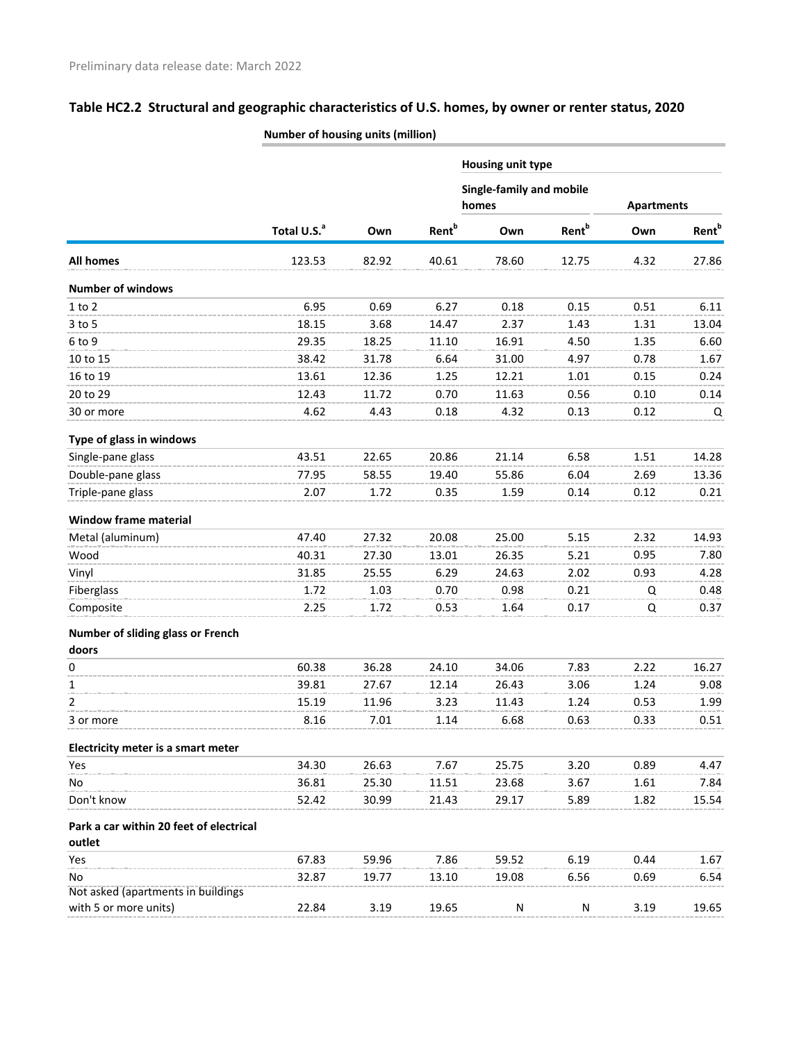|                                                   | Number of nousing units (million) |       |                          |                                 |                          |                   |                          |
|---------------------------------------------------|-----------------------------------|-------|--------------------------|---------------------------------|--------------------------|-------------------|--------------------------|
|                                                   |                                   |       |                          | Housing unit type               |                          |                   |                          |
|                                                   |                                   |       |                          | <b>Single-family and mobile</b> |                          |                   |                          |
|                                                   |                                   |       |                          | homes                           |                          | <b>Apartments</b> |                          |
|                                                   | Total U.S. <sup>a</sup>           | Own   | <b>Rent</b> <sup>b</sup> | Own                             | <b>Rent</b> <sup>b</sup> | Own               | <b>Rent</b> <sup>b</sup> |
| <b>All homes</b>                                  | 123.53                            | 82.92 | 40.61                    | 78.60                           | 12.75                    | 4.32              | 27.86                    |
| <b>Number of windows</b>                          |                                   |       |                          |                                 |                          |                   |                          |
| $1$ to $2$                                        | 6.95                              | 0.69  | 6.27                     | 0.18                            | 0.15                     | 0.51              | 6.11                     |
| $3$ to $5$                                        | 18.15                             | 3.68  | 14.47                    | 2.37                            | 1.43                     | 1.31              | 13.04                    |
| 6 to 9                                            | 29.35                             | 18.25 | 11.10                    | 16.91                           | 4.50                     | 1.35              | 6.60                     |
| 10 to 15                                          | 38.42                             | 31.78 | 6.64                     | 31.00                           | 4.97                     | 0.78              | 1.67                     |
| 16 to 19                                          | 13.61                             | 12.36 | 1.25                     | 12.21                           | 1.01                     | 0.15              | 0.24                     |
| 20 to 29                                          | 12.43                             | 11.72 | 0.70                     | 11.63                           | 0.56                     | 0.10              | 0.14                     |
| 30 or more                                        | 4.62                              | 4.43  | 0.18                     | 4.32                            | 0.13                     | 0.12              | Q                        |
| Type of glass in windows                          |                                   |       |                          |                                 |                          |                   |                          |
| Single-pane glass                                 | 43.51                             | 22.65 | 20.86                    | 21.14                           | 6.58                     | 1.51              | 14.28                    |
| Double-pane glass                                 | 77.95                             | 58.55 | 19.40                    | 55.86                           | 6.04                     | 2.69              | 13.36                    |
| Triple-pane glass                                 | 2.07                              | 1.72  | 0.35                     | 1.59                            | 0.14                     | 0.12              | 0.21                     |
| <b>Window frame material</b>                      |                                   |       |                          |                                 |                          |                   |                          |
| Metal (aluminum)                                  | 47.40                             | 27.32 | 20.08                    | 25.00                           | 5.15                     | 2.32              | 14.93                    |
| Wood                                              | 40.31                             | 27.30 | 13.01                    | 26.35                           | 5.21                     | 0.95              | 7.80                     |
| Vinyl                                             | 31.85                             | 25.55 | 6.29                     | 24.63                           | 2.02                     | 0.93              | 4.28                     |
| Fiberglass                                        | 1.72                              | 1.03  | 0.70                     | 0.98                            | 0.21                     | Q                 | 0.48                     |
| Composite                                         | 2.25                              | 1.72  | 0.53                     | 1.64                            | 0.17                     | Q                 | 0.37                     |
| Number of sliding glass or French                 |                                   |       |                          |                                 |                          |                   |                          |
| doors                                             |                                   |       |                          |                                 |                          |                   |                          |
| 0                                                 | 60.38                             | 36.28 | 24.10                    | 34.06                           | 7.83                     | 2.22              | 16.27                    |
| 1                                                 | 39.81                             | 27.67 | 12.14                    | 26.43                           | 3.06                     | 1.24              | 9.08                     |
| 2                                                 | 15.19                             | 11.96 | 3.23                     | 11.43                           | 1.24                     | 0.53              | 1.99                     |
| 3 or more                                         | 8.16                              | 7.01  | 1.14                     | 6.68                            | 0.63                     | 0.33              | 0.51                     |
| Electricity meter is a smart meter                |                                   |       |                          |                                 |                          |                   |                          |
| Yes                                               | 34.30                             | 26.63 | 7.67                     | 25.75                           | 3.20                     | 0.89              | 4.47                     |
| No                                                | 36.81                             | 25.30 | 11.51                    | 23.68                           | 3.67                     | 1.61              | 7.84                     |
| Don't know                                        | 52.42                             | 30.99 | 21.43                    | 29.17                           | 5.89                     | 1.82              | 15.54                    |
| Park a car within 20 feet of electrical<br>outlet |                                   |       |                          |                                 |                          |                   |                          |
| Yes                                               | 67.83                             | 59.96 | 7.86                     | 59.52                           | 6.19                     | 0.44              | 1.67                     |
| No                                                | 32.87                             | 19.77 | 13.10                    | 19.08                           | 6.56                     | 0.69              | 6.54                     |
| Not asked (apartments in buildings                |                                   |       |                          |                                 |                          |                   |                          |
| with 5 or more units)                             | 22.84                             | 3.19  | 19.65                    | N                               | N                        | 3.19              | 19.65                    |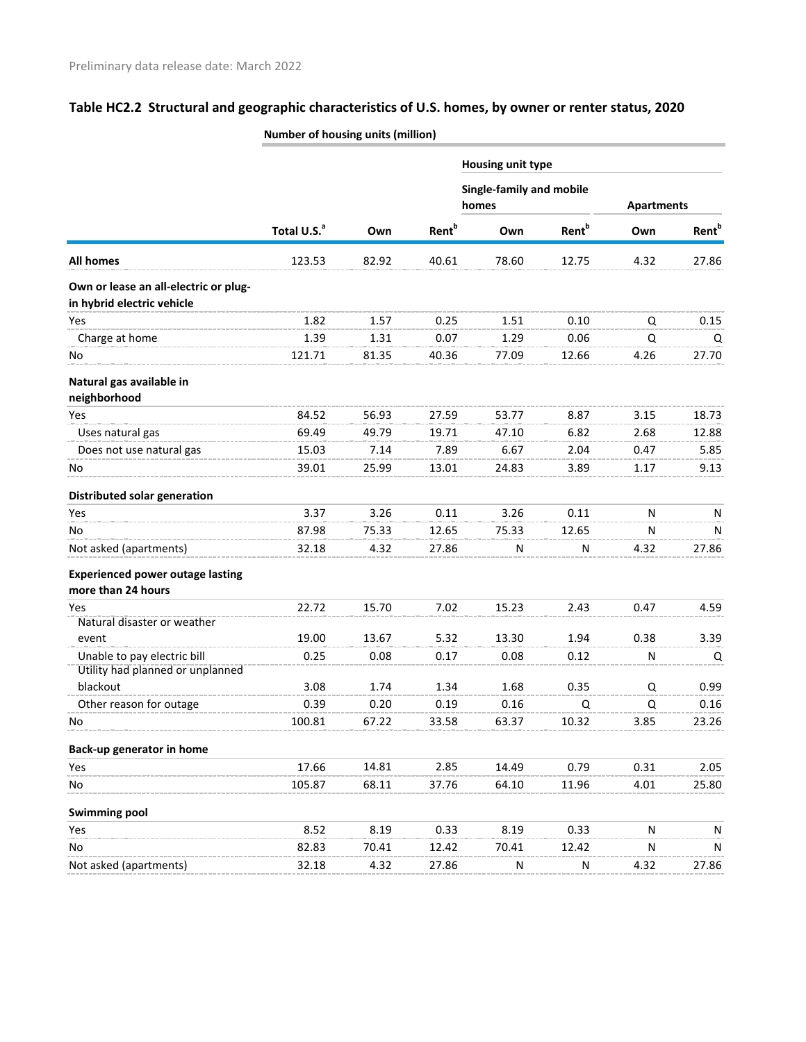|                                         | Number of housing units (million) |       |                          |                          |                          |                   |                   |
|-----------------------------------------|-----------------------------------|-------|--------------------------|--------------------------|--------------------------|-------------------|-------------------|
|                                         |                                   |       |                          | <b>Housing unit type</b> |                          |                   |                   |
|                                         |                                   |       |                          | Single-family and mobile |                          |                   |                   |
|                                         |                                   |       |                          | homes                    |                          | <b>Apartments</b> |                   |
|                                         | Total U.S. <sup>a</sup>           | Own   | <b>Rent</b> <sup>b</sup> | Own                      | <b>Rent</b> <sup>b</sup> | Own               | Rent <sup>b</sup> |
| All homes                               | 123.53                            | 82.92 | 40.61                    | 78.60                    | 12.75                    | 4.32              | 27.86             |
| Own or lease an all-electric or plug-   |                                   |       |                          |                          |                          |                   |                   |
| in hybrid electric vehicle              |                                   |       |                          |                          |                          |                   |                   |
| Yes                                     | 1.82                              | 1.57  | 0.25                     | 1.51                     | 0.10                     | Q                 | 0.15              |
| Charge at home                          | 1.39                              | 1.31  | 0.07                     | 1.29                     | 0.06                     | Q                 | Q                 |
| No                                      | 121.71                            | 81.35 | 40.36                    | 77.09                    | 12.66                    | 4.26              | 27.70             |
| Natural gas available in                |                                   |       |                          |                          |                          |                   |                   |
| neighborhood                            |                                   |       |                          |                          |                          |                   |                   |
| Yes                                     | 84.52                             | 56.93 | 27.59                    | 53.77                    | 8.87                     | 3.15              | 18.73             |
| Uses natural gas                        | 69.49                             | 49.79 | 19.71                    | 47.10                    | 6.82                     | 2.68              | 12.88             |
| Does not use natural gas                | 15.03                             | 7.14  | 7.89                     | 6.67                     | 2.04                     | 0.47              | 5.85              |
| No                                      | 39.01                             | 25.99 | 13.01                    | 24.83                    | 3.89                     | 1.17              | 9.13              |
| Distributed solar generation            |                                   |       |                          |                          |                          |                   |                   |
| Yes                                     | 3.37                              | 3.26  | 0.11                     | 3.26                     | 0.11                     | N                 | N                 |
| No                                      | 87.98                             | 75.33 | 12.65                    | 75.33                    | 12.65                    | N                 | N                 |
| Not asked (apartments)                  | 32.18                             | 4.32  | 27.86                    | N                        | $\mathsf{N}$             | 4.32              | 27.86             |
| <b>Experienced power outage lasting</b> |                                   |       |                          |                          |                          |                   |                   |
| more than 24 hours                      |                                   |       |                          |                          |                          |                   |                   |
| Yes                                     | 22.72                             | 15.70 | 7.02                     | 15.23                    | 2.43                     | 0.47              | 4.59              |
| Natural disaster or weather             |                                   |       |                          |                          |                          |                   |                   |
| event                                   | 19.00                             | 13.67 | 5.32                     | 13.30                    | 1.94                     | 0.38              | 3.39              |
| Unable to pay electric bill             | 0.25                              | 0.08  | 0.17                     | 0.08                     | 0.12                     | N                 | Q                 |
| Utility had planned or unplanned        |                                   |       |                          |                          |                          |                   |                   |
| blackout                                | 3.08                              | 1.74  | 1.34                     | 1.68                     | 0.35                     | Q                 | 0.99              |
| Other reason for outage                 | 0.39                              | 0.20  | 0.19                     | 0.16                     | Q                        | Q                 | 0.16              |
| No                                      | 100.81                            | 67.22 | 33.58                    | 63.37                    | 10.32                    | 3.85              | 23.26             |
| Back-up generator in home               |                                   |       |                          |                          |                          |                   |                   |
| Yes                                     | 17.66                             | 14.81 | 2.85                     | 14.49                    | 0.79                     | 0.31              | 2.05              |
| No                                      | 105.87                            | 68.11 | 37.76                    | 64.10                    | 11.96                    | 4.01              | 25.80             |
| <b>Swimming pool</b>                    |                                   |       |                          |                          |                          |                   |                   |
| Yes                                     | 8.52                              | 8.19  | 0.33                     | 8.19                     | 0.33                     | N                 | N                 |
| No                                      | 82.83                             | 70.41 | 12.42                    | 70.41                    | 12.42                    | N                 | N                 |
| Not asked (apartments)                  | 32.18                             | 4.32  | 27.86                    | ${\sf N}$                | ${\sf N}$                | 4.32              | 27.86             |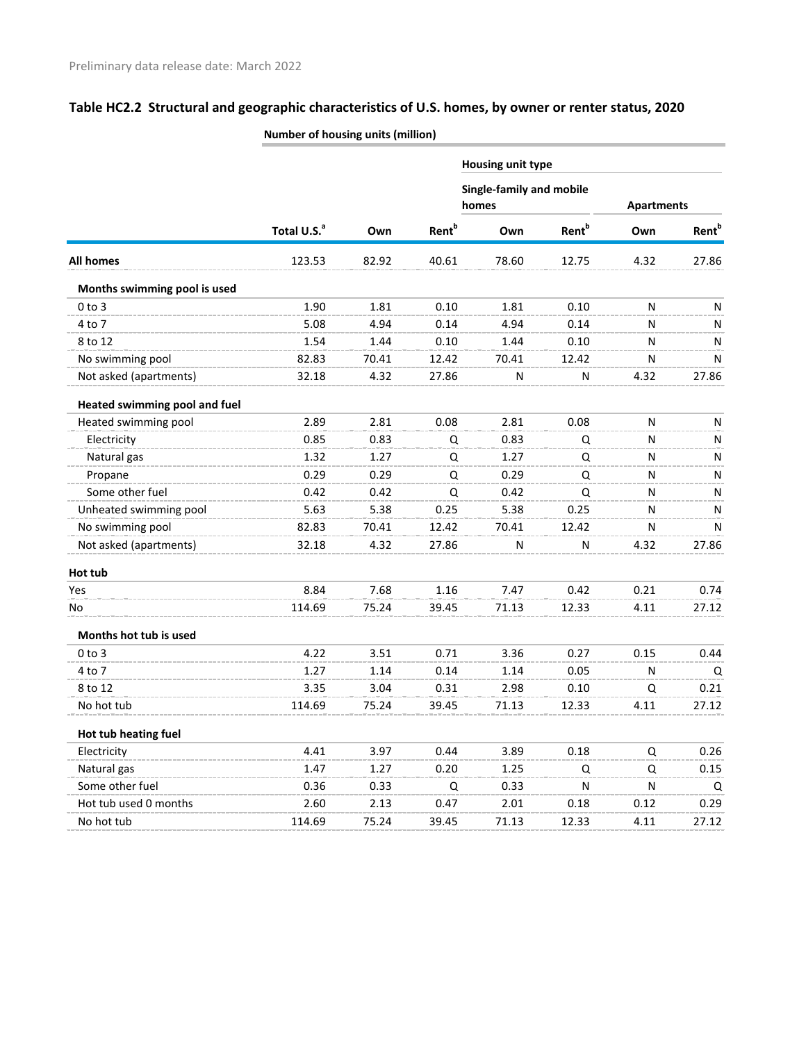|                                      | vaniber of housing units (million) |       |                          |                                          |                          |                   |                          |
|--------------------------------------|------------------------------------|-------|--------------------------|------------------------------------------|--------------------------|-------------------|--------------------------|
|                                      |                                    |       |                          | Housing unit type                        |                          |                   |                          |
|                                      |                                    |       |                          | <b>Single-family and mobile</b><br>homes |                          | <b>Apartments</b> |                          |
|                                      | Total U.S. <sup>a</sup>            | Own   | <b>Rent</b> <sup>b</sup> | Own                                      | <b>Rent</b> <sup>b</sup> | Own               | <b>Rent</b> <sup>b</sup> |
| All homes                            | 123.53                             | 82.92 | 40.61                    | 78.60                                    | 12.75                    | 4.32              | 27.86                    |
| Months swimming pool is used         |                                    |       |                          |                                          |                          |                   |                          |
| $0$ to $3$                           | 1.90                               | 1.81  | 0.10                     | 1.81                                     | 0.10                     | N                 | N                        |
| 4 to 7                               | 5.08                               | 4.94  | 0.14                     | 4.94                                     | 0.14                     | N                 | N                        |
| 8 to 12                              | 1.54                               | 1.44  | 0.10                     | 1.44                                     | 0.10                     | N                 | N                        |
| No swimming pool                     | 82.83                              | 70.41 | 12.42                    | 70.41                                    | 12.42                    | N                 | N                        |
| Not asked (apartments)               | 32.18                              | 4.32  | 27.86                    | N                                        | N                        | 4.32              | 27.86                    |
| <b>Heated swimming pool and fuel</b> |                                    |       |                          |                                          |                          |                   |                          |
| Heated swimming pool                 | 2.89                               | 2.81  | 0.08                     | 2.81                                     | 0.08                     | N                 | N                        |
| Electricity                          | 0.85                               | 0.83  | Q                        | 0.83                                     | Q                        | N                 | N                        |
| Natural gas                          | 1.32                               | 1.27  | Q                        | 1.27                                     | Q                        | N                 | N                        |
| Propane                              | 0.29                               | 0.29  | Q                        | 0.29                                     | Q                        | N                 | N                        |
| Some other fuel                      | 0.42                               | 0.42  | Q                        | 0.42                                     | Q                        | N                 | N                        |
| Unheated swimming pool               | 5.63                               | 5.38  | 0.25                     | 5.38                                     | 0.25                     | N                 | N                        |
| No swimming pool                     | 82.83                              | 70.41 | 12.42                    | 70.41                                    | 12.42                    | N                 | N                        |
| Not asked (apartments)               | 32.18                              | 4.32  | 27.86                    | N                                        | N                        | 4.32              | 27.86                    |
| Hot tub                              |                                    |       |                          |                                          |                          |                   |                          |
| Yes                                  | 8.84                               | 7.68  | 1.16                     | 7.47                                     | 0.42                     | 0.21              | 0.74                     |
| No                                   | 114.69                             | 75.24 | 39.45                    | 71.13                                    | 12.33                    | 4.11              | 27.12                    |
| Months hot tub is used               |                                    |       |                          |                                          |                          |                   |                          |
| $0$ to $3$                           | 4.22                               | 3.51  | 0.71                     | 3.36                                     | 0.27                     | 0.15              | 0.44                     |
| 4 to 7                               | 1.27                               | 1.14  | 0.14                     | 1.14                                     | 0.05                     | N                 | Q                        |
| 8 to 12                              | 3.35                               | 3.04  | 0.31                     | 2.98                                     | 0.10                     | Q                 | 0.21                     |
| No hot tub                           | 114.69                             | 75.24 | 39.45                    | 71.13                                    | 12.33                    | 4.11              | 27.12                    |
| Hot tub heating fuel                 |                                    |       |                          |                                          |                          |                   |                          |
| Electricity                          | 4.41                               | 3.97  | 0.44                     | 3.89                                     | 0.18                     | Q                 | 0.26                     |
| Natural gas                          | 1.47                               | 1.27  | 0.20                     | 1.25                                     | Q                        | Q                 | 0.15                     |
| Some other fuel                      | 0.36                               | 0.33  | Q                        | 0.33                                     | N                        | N                 | Q                        |
| Hot tub used 0 months                | 2.60                               | 2.13  | 0.47                     | 2.01                                     | 0.18                     | 0.12              | 0.29                     |
| No hot tub                           | 114.69                             | 75.24 | 39.45                    | 71.13                                    | 12.33                    | 4.11              | 27.12                    |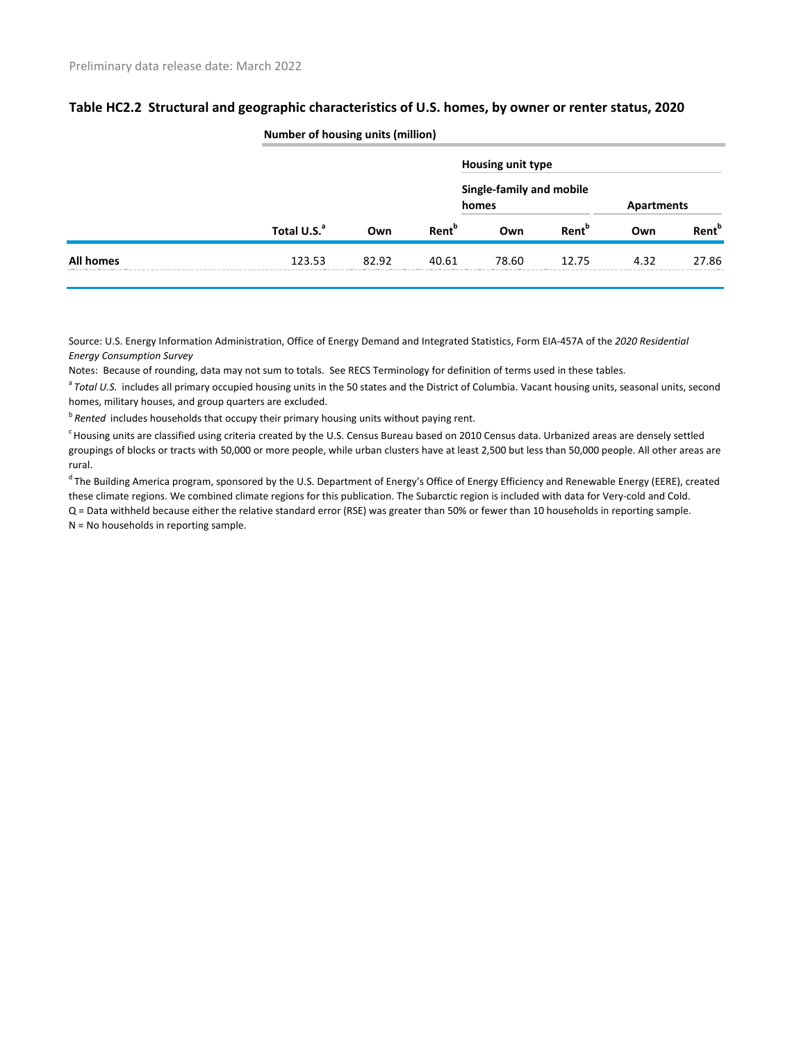|           |                         | <b>Number of housing units (million)</b> |                   |                                   |                          |      |                          |  |  |
|-----------|-------------------------|------------------------------------------|-------------------|-----------------------------------|--------------------------|------|--------------------------|--|--|
|           |                         |                                          |                   | <b>Housing unit type</b>          |                          |      |                          |  |  |
|           | Total U.S. <sup>a</sup> |                                          |                   | Single-family and mobile<br>homes |                          |      | <b>Apartments</b>        |  |  |
|           |                         | Own                                      | Rent <sup>b</sup> | Own                               | <b>Rent</b> <sup>b</sup> | Own  | <b>Rent</b> <sup>b</sup> |  |  |
| All homes | 123.53                  | 82.92                                    | 40.61             | 78.60                             | 12.75                    | 4.32 | 27.86                    |  |  |

Source: U.S. Energy Information Administration, Office of Energy Demand and Integrated Statistics, Form EIA-457A of the *2020 Residential Energy Consumption Survey*

Notes: Because of rounding, data may not sum to totals. See RECS Terminology for definition of terms used in these tables.

<sup>a</sup> Total U.S. includes all primary occupied housing units in the 50 states and the District of Columbia. Vacant housing units, seasonal units, second homes, military houses, and group quarters are excluded.

<sup>b</sup> Rented includes households that occupy their primary housing units without paying rent.

<sup>c</sup> Housing units are classified using criteria created by the U.S. Census Bureau based on 2010 Census data. Urbanized areas are densely settled groupings of blocks or tracts with 50,000 or more people, while urban clusters have at least 2,500 but less than 50,000 people. All other areas are rural.

<sup>d</sup> The Building America program, sponsored by the U.S. Department of Energy's Office of Energy Efficiency and Renewable Energy (EERE), created these climate regions. We combined climate regions for this publication. The Subarctic region is included with data for Very-cold and Cold. Q = Data withheld because either the relative standard error (RSE) was greater than 50% or fewer than 10 households in reporting sample.

N = No households in reporting sample.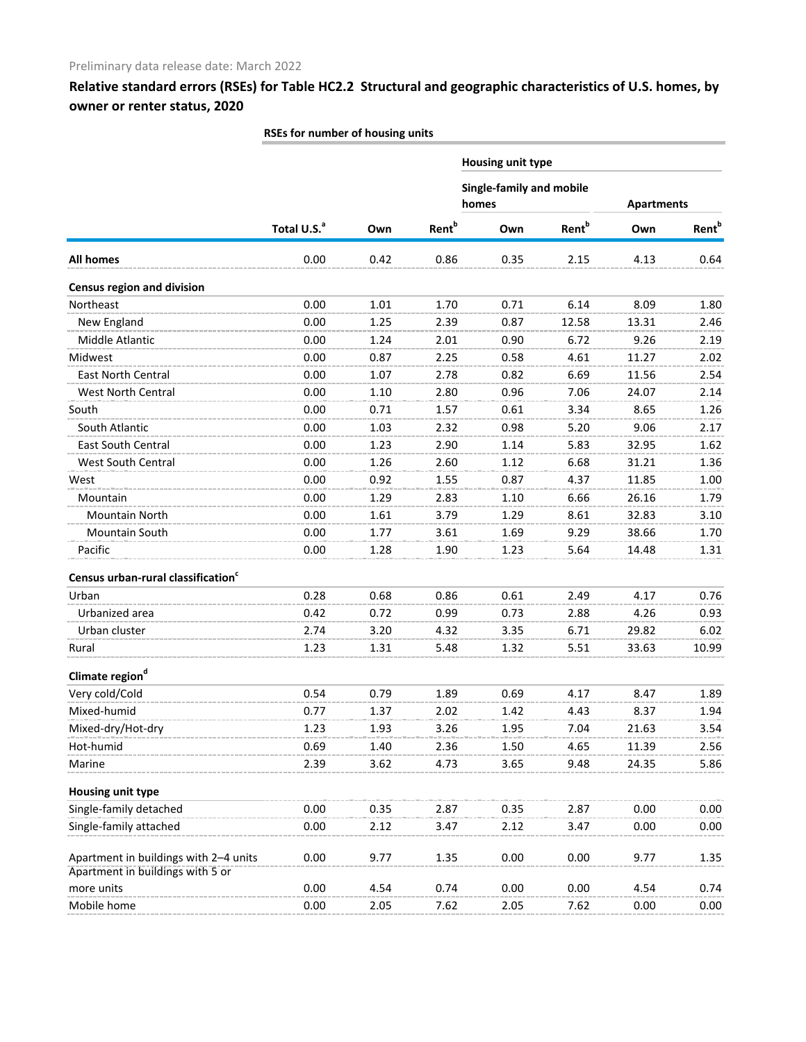|                                                |                         |      |                          | Housing unit type                 |                          |                   |                          |  |
|------------------------------------------------|-------------------------|------|--------------------------|-----------------------------------|--------------------------|-------------------|--------------------------|--|
|                                                |                         |      |                          | Single-family and mobile<br>homes |                          | <b>Apartments</b> |                          |  |
|                                                | Total U.S. <sup>a</sup> | Own  | <b>Rent</b> <sup>b</sup> | Own                               | <b>Rent</b> <sup>b</sup> | Own               | <b>Rent</b> <sup>b</sup> |  |
| All homes                                      | 0.00                    | 0.42 | 0.86                     | 0.35                              | 2.15                     | 4.13              | 0.64                     |  |
| <b>Census region and division</b>              |                         |      |                          |                                   |                          |                   |                          |  |
| Northeast                                      | 0.00                    | 1.01 | 1.70                     | 0.71                              | 6.14                     | 8.09              | 1.80                     |  |
| New England                                    | 0.00                    | 1.25 | 2.39                     | 0.87                              | 12.58                    | 13.31             | 2.46                     |  |
| Middle Atlantic                                | 0.00                    | 1.24 | 2.01                     | 0.90                              | 6.72                     | 9.26              | 2.19                     |  |
| Midwest                                        | 0.00                    | 0.87 | 2.25                     | 0.58                              | 4.61                     | 11.27             | 2.02                     |  |
| East North Central                             | 0.00                    | 1.07 | 2.78                     | 0.82                              | 6.69                     | 11.56             | 2.54                     |  |
| West North Central                             | 0.00                    | 1.10 | 2.80                     | 0.96                              | 7.06                     | 24.07             | 2.14                     |  |
| South                                          | 0.00                    | 0.71 | 1.57                     | 0.61                              | 3.34                     | 8.65              | 1.26                     |  |
| South Atlantic                                 | 0.00                    | 1.03 | 2.32                     | 0.98                              | 5.20                     | 9.06              | 2.17                     |  |
| <b>East South Central</b>                      | 0.00                    | 1.23 | 2.90                     | 1.14                              | 5.83                     | 32.95             | 1.62                     |  |
| <b>West South Central</b>                      | 0.00                    | 1.26 | 2.60                     | 1.12                              | 6.68                     | 31.21             | 1.36                     |  |
| West                                           | 0.00                    | 0.92 | 1.55                     | 0.87                              | 4.37                     | 11.85             | 1.00                     |  |
| Mountain                                       | 0.00                    | 1.29 | 2.83                     | 1.10                              | 6.66                     | 26.16             | 1.79                     |  |
| Mountain North                                 | 0.00                    | 1.61 | 3.79                     | 1.29                              | 8.61                     | 32.83             | 3.10                     |  |
| Mountain South                                 | 0.00                    | 1.77 | 3.61                     | 1.69                              | 9.29                     | 38.66             | 1.70                     |  |
| Pacific                                        | 0.00                    | 1.28 | 1.90                     | 1.23                              | 5.64                     | 14.48             | 1.31                     |  |
| Census urban-rural classification <sup>c</sup> |                         |      |                          |                                   |                          |                   |                          |  |
| Urban                                          | 0.28                    | 0.68 | 0.86                     | 0.61                              | 2.49                     | 4.17              | 0.76                     |  |
| Urbanized area                                 | 0.42                    | 0.72 | 0.99                     | 0.73                              | 2.88                     | 4.26              | 0.93                     |  |
| Urban cluster                                  | 2.74                    | 3.20 | 4.32                     | 3.35                              | 6.71                     | 29.82             | 6.02                     |  |
| Rural                                          | 1.23                    | 1.31 | 5.48                     | 1.32                              | 5.51                     | 33.63             | 10.99                    |  |
| Climate region <sup>d</sup>                    |                         |      |                          |                                   |                          |                   |                          |  |
| Very cold/Cold                                 | 0.54                    | 0.79 | 1.89                     | 0.69                              | 4.17                     | 8.47              | 1.89                     |  |
| Mixed-humid                                    | 0.77                    | 1.37 | 2.02                     | 1.42                              | 4.43                     | 8.37              | 1.94                     |  |
| Mixed-dry/Hot-dry                              | 1.23                    | 1.93 | 3.26                     | 1.95                              | 7.04                     | 21.63             | 3.54                     |  |
| Hot-humid                                      | 0.69                    | 1.40 | 2.36                     | 1.50                              | 4.65                     | 11.39             | 2.56                     |  |
| Marine                                         | 2.39                    | 3.62 | 4.73                     | 3.65                              | 9.48                     | 24.35             | 5.86                     |  |
| <b>Housing unit type</b>                       |                         |      |                          |                                   |                          |                   |                          |  |
| Single-family detached                         | 0.00                    | 0.35 | 2.87                     | 0.35                              | 2.87                     | 0.00              | 0.00                     |  |
| Single-family attached                         | 0.00                    | 2.12 | 3.47                     | 2.12                              | 3.47                     | 0.00              | 0.00                     |  |
| Apartment in buildings with 2-4 units          | 0.00                    | 9.77 | 1.35                     | 0.00                              | 0.00                     | 9.77              | 1.35                     |  |
| Apartment in buildings with 5 or               |                         |      |                          |                                   |                          |                   |                          |  |
| more units                                     | 0.00                    | 4.54 | 0.74                     | 0.00                              | 0.00                     | 4.54              | 0.74                     |  |
| Mobile home                                    | 0.00                    | 2.05 | 7.62                     | 2.05                              | 7.62                     | 0.00              | 0.00                     |  |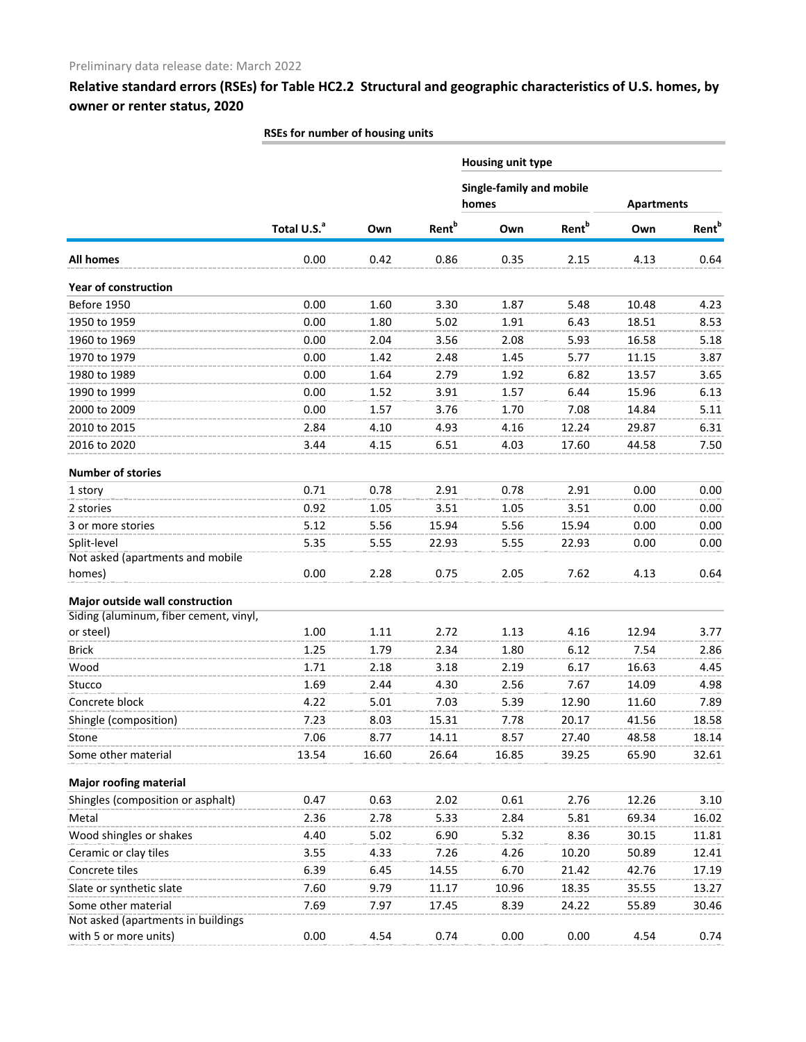|                                        |                         |       |                          | Housing unit type                 |                   |                   |                          |  |
|----------------------------------------|-------------------------|-------|--------------------------|-----------------------------------|-------------------|-------------------|--------------------------|--|
|                                        |                         |       |                          | Single-family and mobile<br>homes |                   | <b>Apartments</b> |                          |  |
|                                        | Total U.S. <sup>a</sup> | Own   | <b>Rent</b> <sup>b</sup> | Own                               | Rent <sup>b</sup> | Own               | <b>Rent</b> <sup>b</sup> |  |
| All homes                              | 0.00                    | 0.42  | 0.86                     | 0.35                              | 2.15              | 4.13              | 0.64                     |  |
| <b>Year of construction</b>            |                         |       |                          |                                   |                   |                   |                          |  |
| Before 1950                            | 0.00                    | 1.60  | 3.30                     | 1.87                              | 5.48              | 10.48             | 4.23                     |  |
| 1950 to 1959                           | 0.00                    | 1.80  | 5.02                     | 1.91                              | 6.43              | 18.51             | 8.53                     |  |
| 1960 to 1969                           | 0.00                    | 2.04  | 3.56                     | 2.08                              | 5.93              | 16.58             | 5.18                     |  |
| 1970 to 1979                           | 0.00                    | 1.42  | 2.48                     | 1.45                              | 5.77              | 11.15             | 3.87                     |  |
| 1980 to 1989                           | 0.00                    | 1.64  | 2.79                     | 1.92                              | 6.82              | 13.57             | 3.65                     |  |
| 1990 to 1999                           | 0.00                    | 1.52  | 3.91                     | 1.57                              | 6.44              | 15.96             | 6.13                     |  |
| 2000 to 2009                           | 0.00                    | 1.57  | 3.76                     | 1.70                              | 7.08              | 14.84             | 5.11                     |  |
| 2010 to 2015                           | 2.84                    | 4.10  | 4.93                     | 4.16                              | 12.24             | 29.87             | 6.31                     |  |
| 2016 to 2020                           | 3.44                    | 4.15  | 6.51                     | 4.03                              | 17.60             | 44.58             | 7.50                     |  |
| <b>Number of stories</b>               |                         |       |                          |                                   |                   |                   |                          |  |
| 1 story                                | 0.71                    | 0.78  | 2.91                     | 0.78                              | 2.91              | 0.00              | 0.00                     |  |
| 2 stories                              | 0.92                    | 1.05  | 3.51                     | 1.05                              | 3.51              | 0.00              | 0.00                     |  |
| 3 or more stories                      | 5.12                    | 5.56  | 15.94                    | 5.56                              | 15.94             | 0.00              | 0.00                     |  |
| Split-level                            | 5.35                    | 5.55  | 22.93                    | 5.55                              | 22.93             | 0.00              | 0.00                     |  |
| Not asked (apartments and mobile       |                         |       |                          |                                   |                   |                   |                          |  |
| homes)                                 | 0.00                    | 2.28  | 0.75                     | 2.05                              | 7.62              | 4.13              | 0.64                     |  |
| Major outside wall construction        |                         |       |                          |                                   |                   |                   |                          |  |
| Siding (aluminum, fiber cement, vinyl, |                         |       |                          |                                   |                   |                   |                          |  |
| or steel)                              | 1.00                    | 1.11  | 2.72                     | 1.13                              | 4.16              | 12.94             | 3.77                     |  |
| <b>Brick</b>                           | 1.25                    | 1.79  | 2.34                     | 1.80                              | 6.12              | 7.54              | 2.86                     |  |
| Wood                                   | 1.71                    | 2.18  | 3.18                     | 2.19                              | 6.17              | 16.63             | 4.45                     |  |
| Stucco                                 | 1.69                    | 2.44  | 4.30                     | 2.56                              | 7.67              | 14.09             | 4.98                     |  |
| Concrete block                         | 4.22                    | 5.01  | 7.03                     | 5.39                              | 12.90             | 11.60             | 7.89                     |  |
| Shingle (composition)                  | 7.23                    | 8.03  | 15.31                    | 7.78                              | 20.17             | 41.56             | 18.58                    |  |
| Stone                                  | 7.06                    | 8.77  | 14.11                    | 8.57                              | 27.40             | 48.58             | 18.14                    |  |
| Some other material                    | 13.54                   | 16.60 | 26.64                    | 16.85                             | 39.25             | 65.90             | 32.61                    |  |
| <b>Major roofing material</b>          |                         |       |                          |                                   |                   |                   |                          |  |
| Shingles (composition or asphalt)      | 0.47                    | 0.63  | 2.02                     | 0.61                              | 2.76              | 12.26             | 3.10                     |  |
| Metal                                  | 2.36                    | 2.78  | 5.33                     | 2.84                              | 5.81              | 69.34             | 16.02                    |  |
| Wood shingles or shakes                | 4.40                    | 5.02  | 6.90                     | 5.32                              | 8.36              | 30.15             | 11.81                    |  |
| Ceramic or clay tiles                  | 3.55                    | 4.33  | 7.26                     | 4.26                              | 10.20             | 50.89             | 12.41                    |  |
| Concrete tiles                         | 6.39                    | 6.45  | 14.55                    | 6.70                              | 21.42             | 42.76             | 17.19                    |  |
| Slate or synthetic slate               | 7.60                    | 9.79  | 11.17                    | 10.96                             | 18.35             | 35.55             | 13.27                    |  |
| Some other material                    | 7.69                    | 7.97  | 17.45                    | 8.39                              | 24.22             | 55.89             | 30.46                    |  |
| Not asked (apartments in buildings     |                         |       |                          |                                   |                   |                   |                          |  |
| with 5 or more units)                  | 0.00                    | 4.54  | 0.74                     | 0.00                              | 0.00              | 4.54              | 0.74                     |  |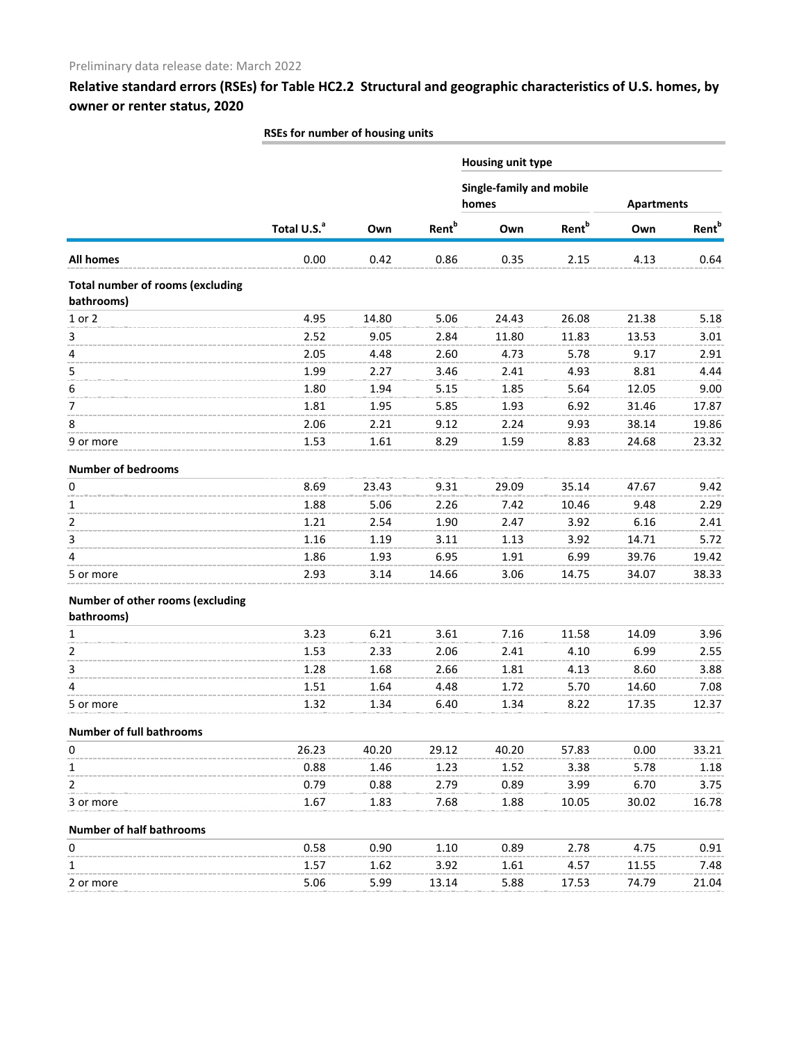|                                                       |                         |       |                          | <b>Housing unit type</b>          |                          |                   |                          |
|-------------------------------------------------------|-------------------------|-------|--------------------------|-----------------------------------|--------------------------|-------------------|--------------------------|
|                                                       |                         |       |                          | Single-family and mobile<br>homes |                          | <b>Apartments</b> |                          |
|                                                       | Total U.S. <sup>a</sup> | Own   | <b>Rent</b> <sup>b</sup> | Own                               | <b>Rent</b> <sup>b</sup> | Own               | <b>Rent</b> <sup>b</sup> |
| All homes                                             | 0.00                    | 0.42  | 0.86                     | 0.35                              | 2.15                     | 4.13              | 0.64                     |
| <b>Total number of rooms (excluding</b><br>bathrooms) |                         |       |                          |                                   |                          |                   |                          |
| 1 or 2                                                | 4.95                    | 14.80 | 5.06                     | 24.43                             | 26.08                    | 21.38             | 5.18                     |
| 3                                                     | 2.52                    | 9.05  | 2.84                     | 11.80                             | 11.83                    | 13.53             | 3.01                     |
| 4                                                     | 2.05                    | 4.48  | 2.60                     | 4.73                              | 5.78                     | 9.17              | 2.91                     |
| 5                                                     | 1.99                    | 2.27  | 3.46                     | 2.41                              | 4.93                     | 8.81              | 4.44                     |
| 6                                                     | 1.80                    | 1.94  | 5.15                     | 1.85                              | 5.64                     | 12.05             | 9.00                     |
| 7                                                     | 1.81                    | 1.95  | 5.85                     | 1.93                              | 6.92                     | 31.46             | 17.87                    |
| 8                                                     | 2.06                    | 2.21  | 9.12                     | 2.24                              | 9.93                     | 38.14             | 19.86                    |
| 9 or more                                             | 1.53                    | 1.61  | 8.29                     | 1.59                              | 8.83                     | 24.68             | 23.32                    |
| <b>Number of bedrooms</b>                             |                         |       |                          |                                   |                          |                   |                          |
| $\pmb{0}$                                             | 8.69                    | 23.43 | 9.31                     | 29.09                             | 35.14                    | 47.67             | 9.42                     |
| $\mathbf{1}$                                          | 1.88                    | 5.06  | 2.26                     | 7.42                              | 10.46                    | 9.48              | 2.29                     |
| 2                                                     | 1.21                    | 2.54  | 1.90                     | 2.47                              | 3.92                     | 6.16              | 2.41                     |
| 3                                                     | 1.16                    | 1.19  | 3.11                     | 1.13                              | 3.92                     | 14.71             | 5.72                     |
| 4                                                     | 1.86                    | 1.93  | 6.95                     | 1.91                              | 6.99                     | 39.76             | 19.42                    |
| 5 or more                                             | 2.93                    | 3.14  | 14.66                    | 3.06                              | 14.75                    | 34.07             | 38.33                    |
| Number of other rooms (excluding<br>bathrooms)        |                         |       |                          |                                   |                          |                   |                          |
| 1                                                     | 3.23                    | 6.21  | 3.61                     | 7.16                              | 11.58                    | 14.09             | 3.96                     |
| $\overline{2}$                                        | 1.53                    | 2.33  | 2.06                     | 2.41                              | 4.10                     | 6.99              | 2.55                     |
| 3                                                     | 1.28                    | 1.68  | 2.66                     | 1.81                              | 4.13                     | 8.60              | 3.88                     |
| 4                                                     | 1.51                    | 1.64  | 4.48                     | 1.72                              | 5.70                     | 14.60             | 7.08                     |
| 5 or more                                             | 1.32                    | 1.34  | 6.40                     | 1.34                              | 8.22                     | 17.35             | 12.37                    |
| <b>Number of full bathrooms</b>                       |                         |       |                          |                                   |                          |                   |                          |
| 0                                                     | 26.23                   | 40.20 | 29.12                    | 40.20                             | 57.83                    | 0.00              | 33.21                    |
| 1                                                     | 0.88                    | 1.46  | 1.23                     | 1.52                              | 3.38                     | 5.78              | 1.18                     |
| 2                                                     | 0.79                    | 0.88  | 2.79                     | 0.89                              | 3.99                     | 6.70              | 3.75                     |
| 3 or more                                             | 1.67                    | 1.83  | 7.68                     | 1.88                              | 10.05                    | 30.02             | 16.78                    |
| <b>Number of half bathrooms</b>                       |                         |       |                          |                                   |                          |                   |                          |
| 0                                                     | 0.58                    | 0.90  | 1.10                     | 0.89                              | 2.78                     | 4.75              | 0.91                     |
| 1                                                     | 1.57                    | 1.62  | 3.92                     | 1.61                              | 4.57                     | 11.55             | 7.48                     |
| 2 or more                                             | 5.06                    | 5.99  | 13.14                    | 5.88                              | 17.53                    | 74.79             | 21.04                    |
|                                                       |                         |       |                          |                                   |                          |                   |                          |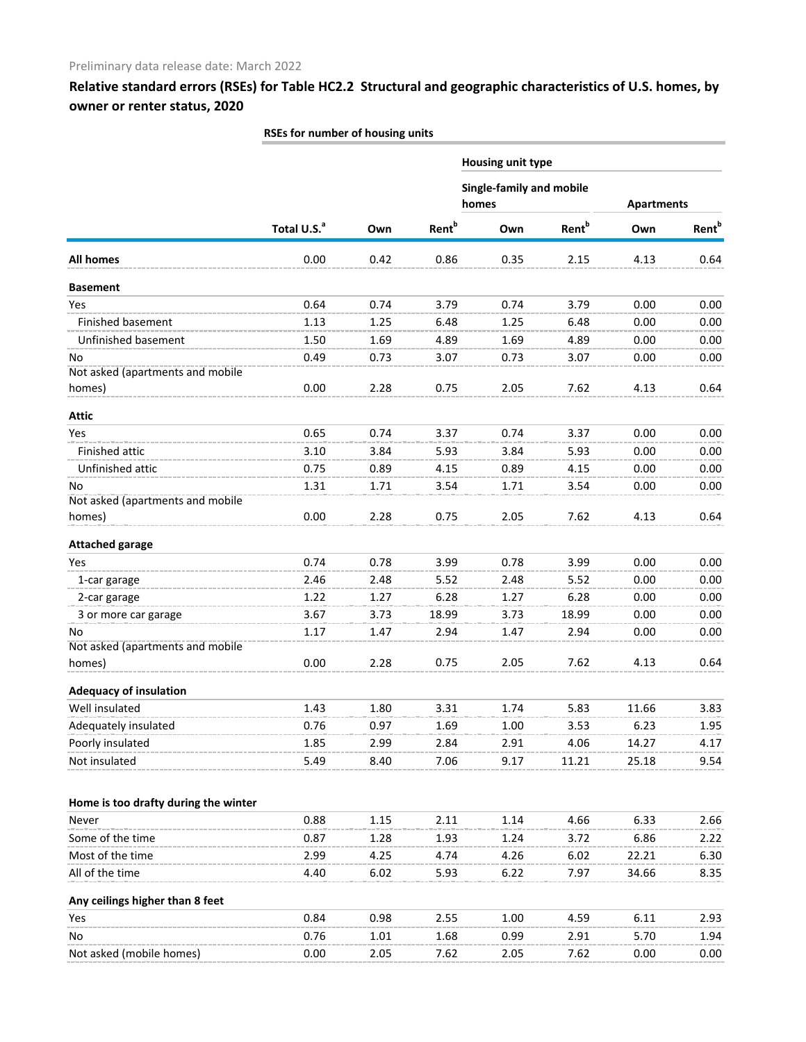|                                      |                         |      |                          | Housing unit type                 |                          |                   |                          |
|--------------------------------------|-------------------------|------|--------------------------|-----------------------------------|--------------------------|-------------------|--------------------------|
|                                      |                         |      |                          | Single-family and mobile<br>homes |                          | <b>Apartments</b> |                          |
|                                      | Total U.S. <sup>a</sup> | Own  | <b>Rent</b> <sup>b</sup> | Own                               | <b>Rent</b> <sup>b</sup> | Own               | <b>Rent</b> <sup>b</sup> |
| <b>All homes</b>                     | 0.00                    | 0.42 | 0.86                     | 0.35                              | 2.15                     | 4.13              | 0.64                     |
| <b>Basement</b>                      |                         |      |                          |                                   |                          |                   |                          |
| Yes                                  | 0.64                    | 0.74 | 3.79                     | 0.74                              | 3.79                     | 0.00              | 0.00                     |
| Finished basement                    | 1.13                    | 1.25 | 6.48                     | 1.25                              | 6.48                     | 0.00              | 0.00                     |
| Unfinished basement                  | 1.50                    | 1.69 | 4.89                     | 1.69                              | 4.89                     | 0.00              | 0.00                     |
| No                                   | 0.49                    | 0.73 | 3.07                     | 0.73                              | 3.07                     | 0.00              | 0.00                     |
| Not asked (apartments and mobile     |                         |      |                          |                                   |                          |                   |                          |
| homes)                               | 0.00                    | 2.28 | 0.75                     | 2.05                              | 7.62                     | 4.13              | 0.64                     |
| <b>Attic</b>                         |                         |      |                          |                                   |                          |                   |                          |
| Yes                                  | 0.65                    | 0.74 | 3.37                     | 0.74                              | 3.37                     | 0.00              | 0.00                     |
| Finished attic                       | 3.10                    | 3.84 | 5.93                     | 3.84                              | 5.93                     | 0.00              | 0.00                     |
| Unfinished attic                     | 0.75                    | 0.89 | 4.15                     | 0.89                              | 4.15                     | 0.00              | 0.00                     |
| No                                   | 1.31                    | 1.71 | 3.54                     | 1.71                              | 3.54                     | 0.00              | 0.00                     |
| Not asked (apartments and mobile     |                         |      |                          |                                   |                          |                   |                          |
| homes)                               | 0.00                    | 2.28 | 0.75                     | 2.05                              | 7.62                     | 4.13              | 0.64                     |
| <b>Attached garage</b>               |                         |      |                          |                                   |                          |                   |                          |
| Yes                                  | 0.74                    | 0.78 | 3.99                     | 0.78                              | 3.99                     | 0.00              | 0.00                     |
| 1-car garage                         | 2.46                    | 2.48 | 5.52                     | 2.48                              | 5.52                     | 0.00              | 0.00                     |
| 2-car garage                         | 1.22                    | 1.27 | 6.28                     | 1.27                              | 6.28                     | 0.00              | 0.00                     |
| 3 or more car garage                 | 3.67                    | 3.73 | 18.99                    | 3.73                              | 18.99                    | 0.00              | 0.00                     |
| No                                   | 1.17                    | 1.47 | 2.94                     | 1.47                              | 2.94                     | 0.00              | 0.00                     |
| Not asked (apartments and mobile     |                         |      |                          |                                   |                          |                   |                          |
| homes)                               | 0.00                    | 2.28 | 0.75                     | 2.05                              | 7.62                     | 4.13              | 0.64                     |
| <b>Adequacy of insulation</b>        |                         |      |                          |                                   |                          |                   |                          |
| Well insulated                       | 1.43                    | 1.80 | 3.31                     | 1.74                              | 5.83                     | 11.66             | 3.83                     |
| Adequately insulated                 | 0.76                    | 0.97 | 1.69                     | 1.00                              | 3.53                     | 6.23              | 1.95                     |
| Poorly insulated                     | 1.85                    | 2.99 | 2.84                     | 2.91                              | 4.06                     | 14.27             | 4.17                     |
| Not insulated                        | 5.49                    | 8.40 | 7.06                     | 9.17                              | 11.21                    | 25.18             | 9.54                     |
|                                      |                         |      |                          |                                   |                          |                   |                          |
| Home is too drafty during the winter |                         |      |                          |                                   |                          |                   |                          |
| Never                                | 0.88                    | 1.15 | 2.11                     | 1.14                              | 4.66                     | 6.33              | 2.66                     |
| Some of the time                     | 0.87                    | 1.28 | 1.93                     | 1.24                              | 3.72                     | 6.86              | 2.22                     |
| Most of the time                     | 2.99                    | 4.25 | 4.74                     | 4.26                              | 6.02                     | 22.21             | 6.30                     |
| All of the time                      | 4.40                    | 6.02 | 5.93                     | 6.22                              | 7.97                     | 34.66             | 8.35                     |
| Any ceilings higher than 8 feet      |                         |      |                          |                                   |                          |                   |                          |
| Yes                                  | 0.84                    | 0.98 | 2.55                     | 1.00                              | 4.59                     | 6.11              | 2.93                     |
| No                                   | 0.76                    | 1.01 | 1.68                     | 0.99                              | 2.91                     | 5.70              | 1.94                     |
| Not asked (mobile homes)             | 0.00                    | 2.05 | 7.62                     | 2.05                              | 7.62                     | 0.00              | 0.00                     |
|                                      |                         |      |                          |                                   |                          |                   |                          |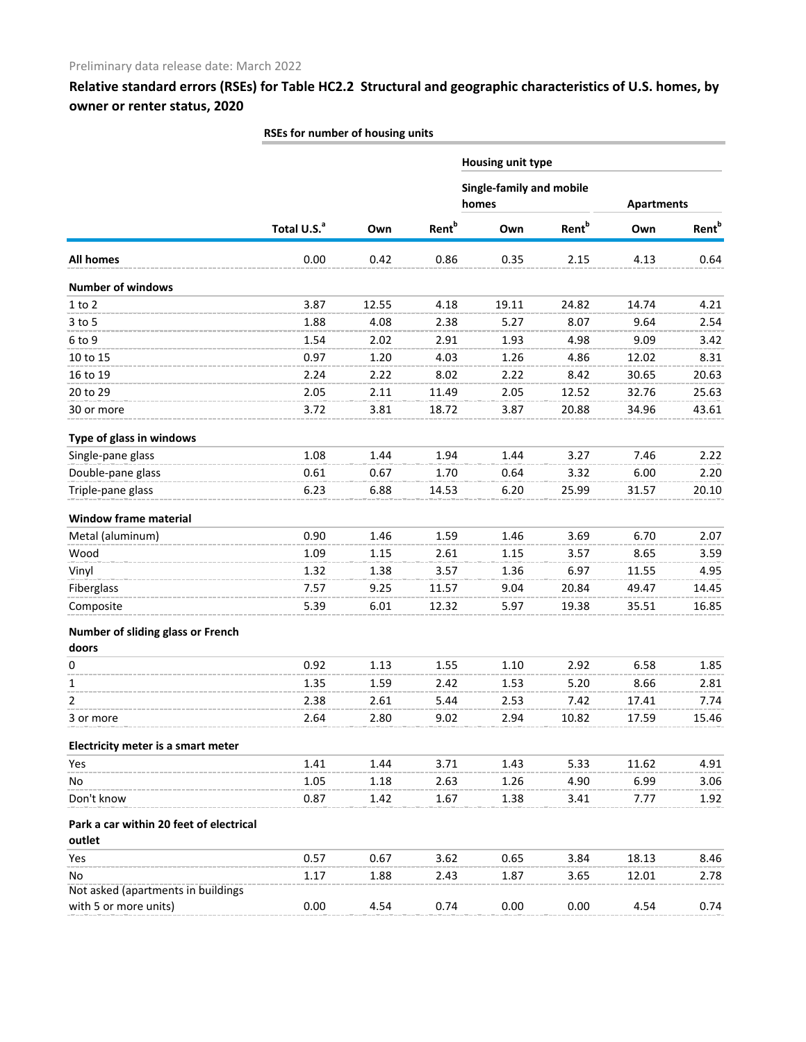|                                                   | Housing unit type       |       |                          |                                          |                          |                   |                          |  |
|---------------------------------------------------|-------------------------|-------|--------------------------|------------------------------------------|--------------------------|-------------------|--------------------------|--|
|                                                   |                         |       |                          | <b>Single-family and mobile</b><br>homes |                          | <b>Apartments</b> |                          |  |
|                                                   | Total U.S. <sup>a</sup> | Own   | <b>Rent</b> <sup>b</sup> | Own                                      | <b>Rent</b> <sup>b</sup> | Own               | <b>Rent</b> <sup>b</sup> |  |
| <b>All homes</b>                                  | 0.00                    | 0.42  | 0.86                     | 0.35                                     | 2.15                     | 4.13              | 0.64                     |  |
| <b>Number of windows</b>                          |                         |       |                          |                                          |                          |                   |                          |  |
| $1$ to $2$                                        | 3.87                    | 12.55 | 4.18                     | 19.11                                    | 24.82                    | 14.74             | 4.21                     |  |
| 3 to 5                                            | 1.88                    | 4.08  | 2.38                     | 5.27                                     | 8.07                     | 9.64              | 2.54                     |  |
| 6 to 9                                            | 1.54                    | 2.02  | 2.91                     | 1.93                                     | 4.98                     | 9.09              | 3.42                     |  |
| 10 to 15                                          | 0.97                    | 1.20  | 4.03                     | 1.26                                     | 4.86                     | 12.02             | 8.31                     |  |
| 16 to 19                                          | 2.24                    | 2.22  | 8.02                     | 2.22                                     | 8.42                     | 30.65             | 20.63                    |  |
| 20 to 29                                          | 2.05                    | 2.11  | 11.49                    | 2.05                                     | 12.52                    | 32.76             | 25.63                    |  |
| 30 or more                                        | 3.72                    | 3.81  | 18.72                    | 3.87                                     | 20.88                    | 34.96             | 43.61                    |  |
| Type of glass in windows                          |                         |       |                          |                                          |                          |                   |                          |  |
| Single-pane glass                                 | 1.08                    | 1.44  | 1.94                     | 1.44                                     | 3.27                     | 7.46              | 2.22                     |  |
| Double-pane glass                                 | 0.61                    | 0.67  | 1.70                     | 0.64                                     | 3.32                     | 6.00              | 2.20                     |  |
| Triple-pane glass                                 | 6.23                    | 6.88  | 14.53                    | 6.20                                     | 25.99                    | 31.57             | 20.10                    |  |
| <b>Window frame material</b>                      |                         |       |                          |                                          |                          |                   |                          |  |
| Metal (aluminum)                                  | 0.90                    | 1.46  | 1.59                     | 1.46                                     | 3.69                     | 6.70              | 2.07                     |  |
| Wood                                              | 1.09                    | 1.15  | 2.61                     | 1.15                                     | 3.57                     | 8.65              | 3.59                     |  |
| Vinyl                                             | 1.32                    | 1.38  | 3.57                     | 1.36                                     | 6.97                     | 11.55             | 4.95                     |  |
| Fiberglass                                        | 7.57                    | 9.25  | 11.57                    | 9.04                                     | 20.84                    | 49.47             | 14.45                    |  |
| Composite                                         | 5.39                    | 6.01  | 12.32                    | 5.97                                     | 19.38                    | 35.51             | 16.85                    |  |
| Number of sliding glass or French<br>doors        |                         |       |                          |                                          |                          |                   |                          |  |
| 0                                                 | 0.92                    | 1.13  | 1.55                     | 1.10                                     | 2.92                     | 6.58              | 1.85                     |  |
| 1                                                 | 1.35                    | 1.59  | 2.42                     | 1.53                                     | 5.20                     | 8.66              | 2.81                     |  |
| 2                                                 | 2.38                    | 2.61  | 5.44                     | 2.53                                     | 7.42                     | 17.41             | 7.74                     |  |
| 3 or more                                         | 2.64                    | 2.80  | 9.02                     | 2.94                                     | 10.82                    | 17.59             | 15.46                    |  |
| Electricity meter is a smart meter                |                         |       |                          |                                          |                          |                   |                          |  |
| Yes                                               | 1.41                    | 1.44  | 3.71                     | 1.43                                     | 5.33                     | 11.62             | 4.91                     |  |
| No                                                | 1.05                    | 1.18  | 2.63                     | 1.26                                     | 4.90                     | 6.99              | 3.06                     |  |
| Don't know                                        | 0.87                    | 1.42  | 1.67                     | 1.38                                     | 3.41                     | 7.77              | 1.92                     |  |
| Park a car within 20 feet of electrical<br>outlet |                         |       |                          |                                          |                          |                   |                          |  |
| Yes                                               | 0.57                    | 0.67  | 3.62                     | 0.65                                     | 3.84                     | 18.13             | 8.46                     |  |
| No                                                | 1.17                    | 1.88  | 2.43                     | 1.87                                     | 3.65                     | 12.01             | 2.78                     |  |
| Not asked (apartments in buildings                |                         |       |                          |                                          |                          |                   |                          |  |
| with 5 or more units)                             | 0.00                    | 4.54  | 0.74                     | 0.00                                     | 0.00                     | 4.54              | 0.74                     |  |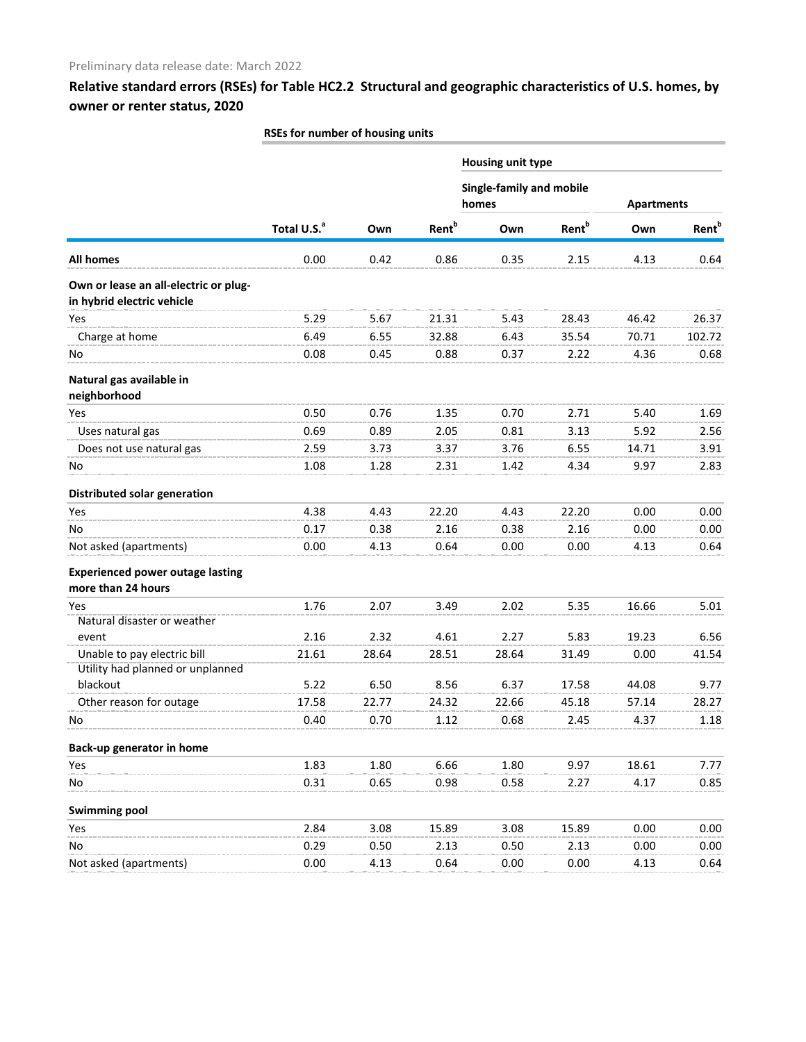|                                         | <b>ROLL INTING OF HOUSING UNITS</b> |       |                          |                          |                          |                   |                          |  |
|-----------------------------------------|-------------------------------------|-------|--------------------------|--------------------------|--------------------------|-------------------|--------------------------|--|
|                                         |                                     |       |                          | <b>Housing unit type</b> |                          |                   |                          |  |
|                                         |                                     |       |                          | Single-family and mobile |                          |                   |                          |  |
|                                         | Total U.S. <sup>a</sup>             | Own   | <b>Rent</b> <sup>b</sup> | homes                    |                          | <b>Apartments</b> |                          |  |
|                                         |                                     |       |                          | Own                      | <b>Rent</b> <sup>b</sup> | Own               | <b>Rent</b> <sup>b</sup> |  |
| <b>All homes</b>                        | 0.00                                | 0.42  | 0.86                     | 0.35                     | 2.15                     | 4.13              | 0.64                     |  |
| Own or lease an all-electric or plug-   |                                     |       |                          |                          |                          |                   |                          |  |
| in hybrid electric vehicle              |                                     |       |                          |                          |                          |                   |                          |  |
| Yes                                     | 5.29                                | 5.67  | 21.31                    | 5.43                     | 28.43                    | 46.42             | 26.37                    |  |
| Charge at home                          | 6.49                                | 6.55  | 32.88                    | 6.43                     | 35.54                    | 70.71             | 102.72                   |  |
| No                                      | 0.08                                | 0.45  | 0.88                     | 0.37                     | 2.22                     | 4.36              | 0.68                     |  |
| Natural gas available in                |                                     |       |                          |                          |                          |                   |                          |  |
| neighborhood                            |                                     |       |                          |                          |                          |                   |                          |  |
| Yes                                     | 0.50                                | 0.76  | 1.35                     | 0.70                     | 2.71                     | 5.40              | 1.69                     |  |
| Uses natural gas                        | 0.69                                | 0.89  | 2.05                     | 0.81                     | 3.13                     | 5.92              | 2.56                     |  |
| Does not use natural gas                | 2.59                                | 3.73  | 3.37                     | 3.76                     | 6.55                     | 14.71             | 3.91                     |  |
| No.                                     | 1.08                                | 1.28  | 2.31                     | 1.42                     | 4.34                     | 9.97              | 2.83                     |  |
| Distributed solar generation            |                                     |       |                          |                          |                          |                   |                          |  |
| Yes                                     | 4.38                                | 4.43  | 22.20                    | 4.43                     | 22.20                    | 0.00              | 0.00                     |  |
| No                                      | 0.17                                | 0.38  | 2.16                     | 0.38                     | 2.16                     | 0.00              | 0.00                     |  |
| Not asked (apartments)                  | 0.00                                | 4.13  | 0.64                     | 0.00                     | 0.00                     | 4.13              | 0.64                     |  |
| <b>Experienced power outage lasting</b> |                                     |       |                          |                          |                          |                   |                          |  |
| more than 24 hours                      |                                     |       |                          |                          |                          |                   |                          |  |
| Yes                                     | 1.76                                | 2.07  | 3.49                     | 2.02                     | 5.35                     | 16.66             | 5.01                     |  |
| Natural disaster or weather<br>event    | 2.16                                | 2.32  | 4.61                     | 2.27                     | 5.83                     | 19.23             | 6.56                     |  |
| Unable to pay electric bill             |                                     |       |                          |                          |                          |                   |                          |  |
| Utility had planned or unplanned        | 21.61                               | 28.64 | 28.51                    | 28.64                    | 31.49                    | 0.00              | 41.54                    |  |
| blackout                                | 5.22                                | 6.50  | 8.56                     | 6.37                     | 17.58                    | 44.08             | 9.77                     |  |
| Other reason for outage                 | 17.58                               | 22.77 | 24.32                    | 22.66                    | 45.18                    | 57.14             | 28.27                    |  |
| No                                      | 0.40                                | 0.70  | 1.12                     | 0.68                     | 2.45                     | 4.37              | 1.18                     |  |
| Back-up generator in home               |                                     |       |                          |                          |                          |                   |                          |  |
| Yes                                     | 1.83                                | 1.80  | 6.66                     | 1.80                     | 9.97                     | 18.61             | 7.77                     |  |
| No                                      | 0.31                                | 0.65  | 0.98                     | 0.58                     | 2.27                     | 4.17              | 0.85                     |  |
| <b>Swimming pool</b>                    |                                     |       |                          |                          |                          |                   |                          |  |
| Yes                                     | 2.84                                | 3.08  | 15.89                    | 3.08                     | 15.89                    | 0.00              | 0.00                     |  |
| No                                      | 0.29                                | 0.50  | 2.13                     | 0.50                     | 2.13                     | 0.00              | 0.00                     |  |
| Not asked (apartments)                  | 0.00                                | 4.13  | 0.64                     | 0.00                     | 0.00                     | 4.13              | 0.64                     |  |
|                                         |                                     |       |                          |                          |                          |                   |                          |  |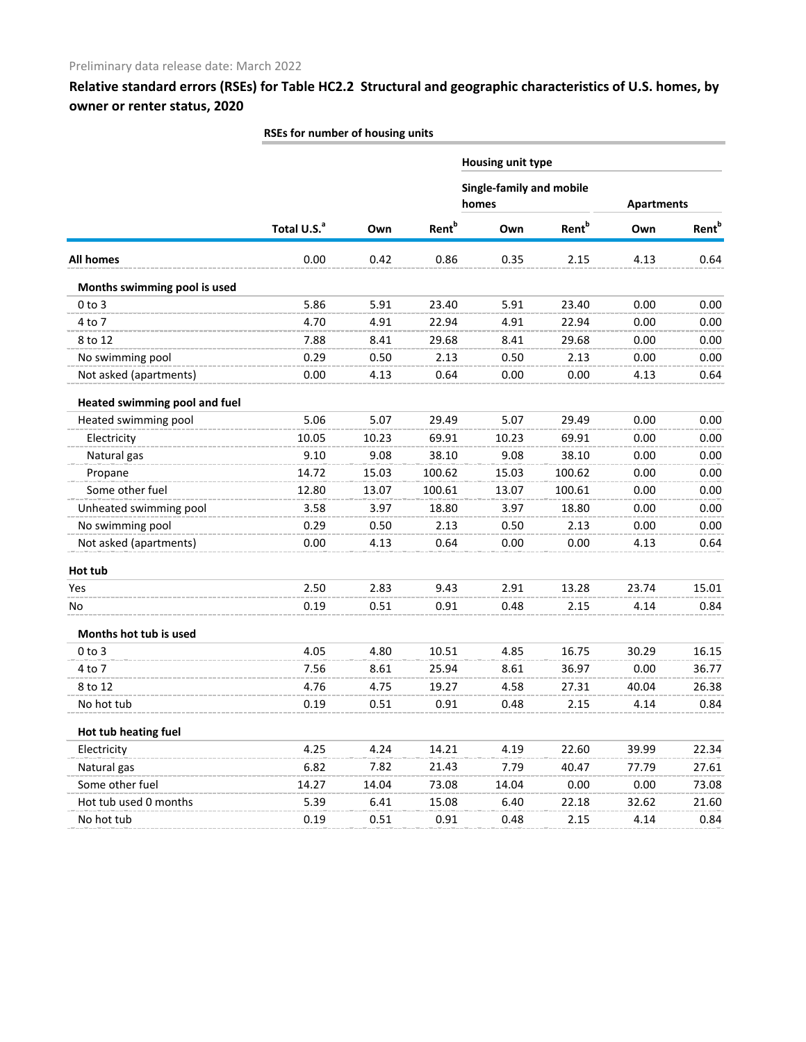|                                      |                         |       |                          | Housing unit type                        |                          |                   |                          |
|--------------------------------------|-------------------------|-------|--------------------------|------------------------------------------|--------------------------|-------------------|--------------------------|
|                                      |                         |       |                          | <b>Single-family and mobile</b><br>homes |                          |                   |                          |
|                                      |                         |       |                          |                                          |                          | <b>Apartments</b> |                          |
|                                      | Total U.S. <sup>a</sup> | Own   | <b>Rent</b> <sup>b</sup> | Own                                      | <b>Rent</b> <sup>b</sup> | Own               | <b>Rent</b> <sup>b</sup> |
| <b>All homes</b>                     | 0.00                    | 0.42  | 0.86                     | 0.35                                     | 2.15                     | 4.13              | 0.64                     |
| Months swimming pool is used         |                         |       |                          |                                          |                          |                   |                          |
| $0$ to $3$                           | 5.86                    | 5.91  | 23.40                    | 5.91                                     | 23.40                    | 0.00              | 0.00                     |
| 4 to 7                               | 4.70                    | 4.91  | 22.94                    | 4.91                                     | 22.94                    | 0.00              | 0.00                     |
| 8 to 12                              | 7.88                    | 8.41  | 29.68                    | 8.41                                     | 29.68                    | 0.00              | 0.00                     |
| No swimming pool                     | 0.29                    | 0.50  | 2.13                     | 0.50                                     | 2.13                     | 0.00              | 0.00                     |
| Not asked (apartments)               | 0.00                    | 4.13  | 0.64                     | 0.00                                     | 0.00                     | 4.13              | 0.64                     |
| <b>Heated swimming pool and fuel</b> |                         |       |                          |                                          |                          |                   |                          |
| Heated swimming pool                 | 5.06                    | 5.07  | 29.49                    | 5.07                                     | 29.49                    | 0.00              | 0.00                     |
| Electricity                          | 10.05                   | 10.23 | 69.91                    | 10.23                                    | 69.91                    | 0.00              | 0.00                     |
| Natural gas                          | 9.10                    | 9.08  | 38.10                    | 9.08                                     | 38.10                    | 0.00              | 0.00                     |
| Propane                              | 14.72                   | 15.03 | 100.62                   | 15.03                                    | 100.62                   | 0.00              | 0.00                     |
| Some other fuel                      | 12.80                   | 13.07 | 100.61                   | 13.07                                    | 100.61                   | 0.00              | 0.00                     |
| Unheated swimming pool               | 3.58                    | 3.97  | 18.80                    | 3.97                                     | 18.80                    | 0.00              | 0.00                     |
| No swimming pool                     | 0.29                    | 0.50  | 2.13                     | 0.50                                     | 2.13                     | 0.00              | 0.00                     |
| Not asked (apartments)               | 0.00                    | 4.13  | 0.64                     | 0.00                                     | 0.00                     | 4.13              | 0.64                     |
| Hot tub                              |                         |       |                          |                                          |                          |                   |                          |
| Yes                                  | 2.50                    | 2.83  | 9.43                     | 2.91                                     | 13.28                    | 23.74             | 15.01                    |
| No                                   | 0.19                    | 0.51  | 0.91                     | 0.48                                     | 2.15                     | 4.14              | 0.84                     |
| Months hot tub is used               |                         |       |                          |                                          |                          |                   |                          |
| $0$ to $3$                           | 4.05                    | 4.80  | 10.51                    | 4.85                                     | 16.75                    | 30.29             | 16.15                    |
| 4 to 7                               | 7.56                    | 8.61  | 25.94                    | 8.61                                     | 36.97                    | 0.00              | 36.77                    |
| 8 to 12                              | 4.76                    | 4.75  | 19.27                    | 4.58                                     | 27.31                    | 40.04             | 26.38                    |
| No hot tub                           | 0.19                    | 0.51  | 0.91                     | 0.48                                     | 2.15                     | 4.14              | 0.84                     |
| Hot tub heating fuel                 |                         |       |                          |                                          |                          |                   |                          |
| Electricity                          | 4.25                    | 4.24  | 14.21                    | 4.19                                     | 22.60                    | 39.99             | 22.34                    |
| Natural gas                          | 6.82                    | 7.82  | 21.43                    | 7.79                                     | 40.47                    | 77.79             | 27.61                    |
| Some other fuel                      | 14.27                   | 14.04 | 73.08                    | 14.04                                    | 0.00                     | 0.00              | 73.08                    |
| Hot tub used 0 months                | 5.39                    | 6.41  | 15.08                    | 6.40                                     | 22.18                    | 32.62             | 21.60                    |
| No hot tub                           | 0.19                    | 0.51  | 0.91                     | 0.48                                     | 2.15                     | 4.14              | 0.84                     |